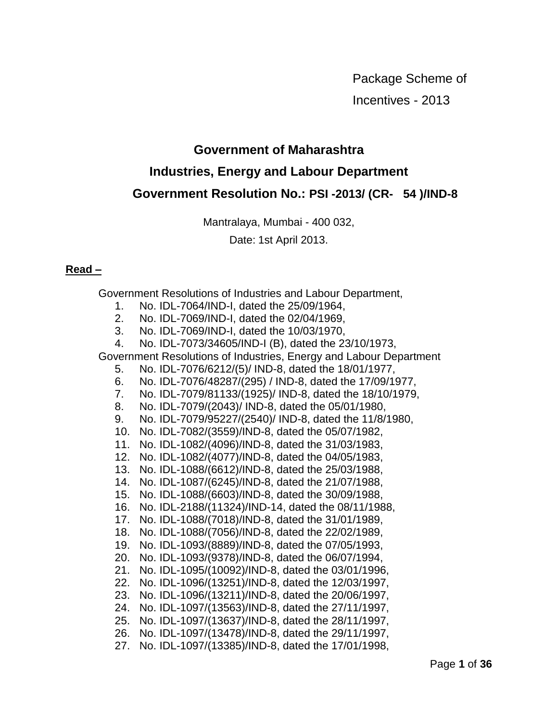Package Scheme of Incentives - 2013

## **Government of Maharashtra**

# **Industries, Energy and Labour Department Government Resolution No.: PSI -2013/ (CR- 54 )/IND-8**

Mantralaya, Mumbai - 400 032,

Date: 1st April 2013.

## **Read –**

Government Resolutions of Industries and Labour Department,

- 1. No. IDL-7064/IND-I, dated the 25/09/1964,
- 2. No. IDL-7069/IND-I, dated the 02/04/1969,
- 3. No. IDL-7069/IND-I, dated the 10/03/1970,
- 4. No. IDL-7073/34605/IND-I (B), dated the 23/10/1973,

Government Resolutions of Industries, Energy and Labour Department

- 5. No. IDL-7076/6212/(5)/ IND-8, dated the 18/01/1977,
- 6. No. IDL-7076/48287/(295) / IND-8, dated the 17/09/1977,
- 7. No. IDL-7079/81133/(1925)/ IND-8, dated the 18/10/1979,
- 8. No. IDL-7079/(2043)/ IND-8, dated the 05/01/1980,
- 9. No. IDL-7079/95227/(2540)/ IND-8, dated the 11/8/1980,
- 10. No. IDL-7082/(3559)/IND-8, dated the 05/07/1982,
- 11. No. IDL-1082/(4096)/IND-8, dated the 31/03/1983,
- 12. No. IDL-1082/(4077)/IND-8, dated the 04/05/1983,
- 13. No. IDL-1088/(6612)/IND-8, dated the 25/03/1988,
- 14. No. IDL-1087/(6245)/IND-8, dated the 21/07/1988,
- 15. No. IDL-1088/(6603)/IND-8, dated the 30/09/1988,
- 16. No. IDL-2188/(11324)/IND-14, dated the 08/11/1988,
- 17. No. IDL-1088/(7018)/IND-8, dated the 31/01/1989,
- 18. No. IDL-1088/(7056)/IND-8, dated the 22/02/1989,
- 19. No. IDL-1093/(8889)/IND-8, dated the 07/05/1993,
- 20. No. IDL-1093/(9378)/IND-8, dated the 06/07/1994,
- 21. No. IDL-1095/(10092)/IND-8, dated the 03/01/1996,
- 22. No. IDL-1096/(13251)/IND-8, dated the 12/03/1997,
- 23. No. IDL-1096/(13211)/IND-8, dated the 20/06/1997,
- 24. No. IDL-1097/(13563)/IND-8, dated the 27/11/1997,
- 25. No. IDL-1097/(13637)/IND-8, dated the 28/11/1997,
- 26. No. IDL-1097/(13478)/IND-8, dated the 29/11/1997,
- 27. No. IDL-1097/(13385)/IND-8, dated the 17/01/1998,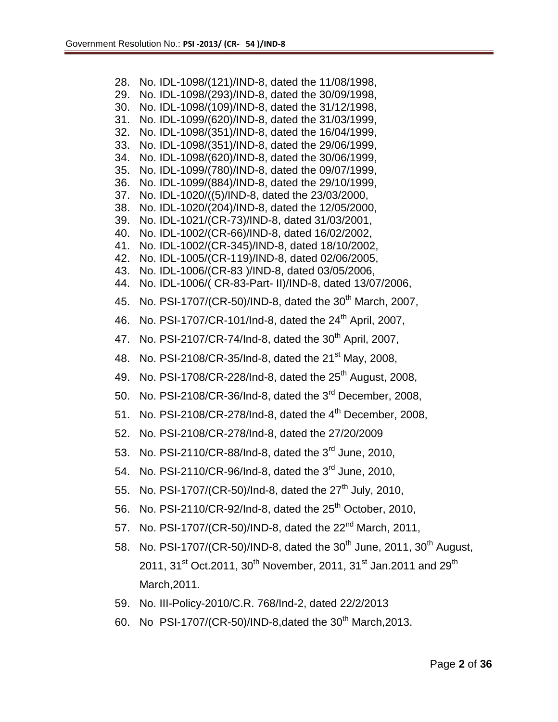28. No. IDL-1098/(121)/IND-8, dated the 11/08/1998, 29. No. IDL-1098/(293)/IND-8, dated the 30/09/1998, 30. No. IDL-1098/(109)/IND-8, dated the 31/12/1998, 31. No. IDL-1099/(620)/IND-8, dated the 31/03/1999, 32. No. IDL-1098/(351)/IND-8, dated the 16/04/1999, 33. No. IDL-1098/(351)/IND-8, dated the 29/06/1999, 34. No. IDL-1098/(620)/IND-8, dated the 30/06/1999, 35. No. IDL-1099/(780)/IND-8, dated the 09/07/1999, 36. No. IDL-1099/(884)/IND-8, dated the 29/10/1999, 37. No. IDL-1020/((5)/IND-8, dated the 23/03/2000, 38. No. IDL-1020/(204)/IND-8, dated the 12/05/2000, 39. No. IDL-1021/(CR-73)/IND-8, dated 31/03/2001, 40. No. IDL-1002/(CR-66)/IND-8, dated 16/02/2002, 41. No. IDL-1002/(CR-345)/IND-8, dated 18/10/2002, 42. No. IDL-1005/(CR-119)/IND-8, dated 02/06/2005, 43. No. IDL-1006/(CR-83 )/IND-8, dated 03/05/2006, 44. No. IDL-1006/( CR-83-Part- II)/IND-8, dated 13/07/2006, 45. No. PSI-1707/(CR-50)/IND-8, dated the 30<sup>th</sup> March, 2007, 46. No. PSI-1707/CR-101/Ind-8, dated the 24<sup>th</sup> April, 2007, 47. No. PSI-2107/CR-74/Ind-8, dated the 30<sup>th</sup> April, 2007, 48. No. PSI-2108/CR-35/Ind-8, dated the 21<sup>st</sup> May, 2008, 49. No. PSI-1708/CR-228/Ind-8, dated the  $25<sup>th</sup>$  August, 2008, 50. No. PSI-2108/CR-36/Ind-8, dated the 3rd December, 2008, 51. No. PSI-2108/CR-278/Ind-8, dated the  $4<sup>th</sup>$  December, 2008, 52. No. PSI-2108/CR-278/Ind-8, dated the 27/20/2009 53. No. PSI-2110/CR-88/Ind-8, dated the 3<sup>rd</sup> June. 2010. 54. No. PSI-2110/CR-96/Ind-8, dated the  $3^{rd}$  June, 2010, 55. No. PSI-1707/(CR-50)/Ind-8, dated the  $27<sup>th</sup>$  July, 2010, 56. No. PSI-2110/CR-92/Ind-8, dated the  $25<sup>th</sup>$  October, 2010, 57. No. PSI-1707/(CR-50)/IND-8, dated the 22<sup>nd</sup> March, 2011, 58. No. PSI-1707/(CR-50)/IND-8, dated the  $30^{th}$  June, 2011,  $30^{th}$  August, 2011, 31<sup>st</sup> Oct.2011, 30<sup>th</sup> November, 2011, 31<sup>st</sup> Jan.2011 and 29<sup>th</sup> March,2011. 59. No. III-Policy-2010/C.R. 768/Ind-2, dated 22/2/2013 60. No PSI-1707/(CR-50)/IND-8, dated the  $30^{th}$  March, 2013.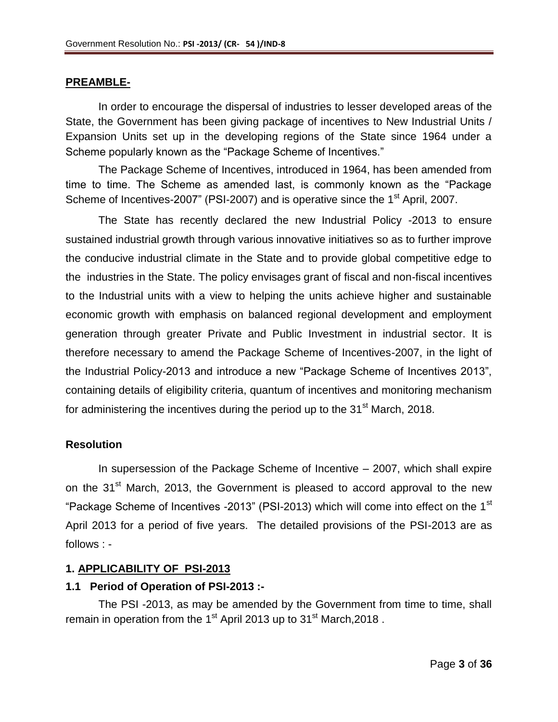### **PREAMBLE-**

In order to encourage the dispersal of industries to lesser developed areas of the State, the Government has been giving package of incentives to New Industrial Units / Expansion Units set up in the developing regions of the State since 1964 under a Scheme popularly known as the "Package Scheme of Incentives."

The Package Scheme of Incentives, introduced in 1964, has been amended from time to time. The Scheme as amended last, is commonly known as the "Package Scheme of Incentives-2007" (PSI-2007) and is operative since the 1<sup>st</sup> April, 2007.

The State has recently declared the new Industrial Policy -2013 to ensure sustained industrial growth through various innovative initiatives so as to further improve the conducive industrial climate in the State and to provide global competitive edge to the industries in the State. The policy envisages grant of fiscal and non-fiscal incentives to the Industrial units with a view to helping the units achieve higher and sustainable economic growth with emphasis on balanced regional development and employment generation through greater Private and Public Investment in industrial sector. It is therefore necessary to amend the Package Scheme of Incentives-2007, in the light of the Industrial Policy-2013 and introduce a new "Package Scheme of Incentives 2013", containing details of eligibility criteria, quantum of incentives and monitoring mechanism for administering the incentives during the period up to the  $31<sup>st</sup>$  March, 2018.

#### **Resolution**

In supersession of the Package Scheme of Incentive – 2007, which shall expire on the 31<sup>st</sup> March, 2013, the Government is pleased to accord approval to the new "Package Scheme of Incentives -2013" (PSI-2013) which will come into effect on the 1<sup>st</sup> April 2013 for a period of five years. The detailed provisions of the PSI-2013 are as follows : -

#### **1. APPLICABILITY OF PSI-2013**

#### **1.1 Period of Operation of PSI-2013 :-**

The PSI -2013, as may be amended by the Government from time to time, shall remain in operation from the 1<sup>st</sup> April 2013 up to 31<sup>st</sup> March, 2018.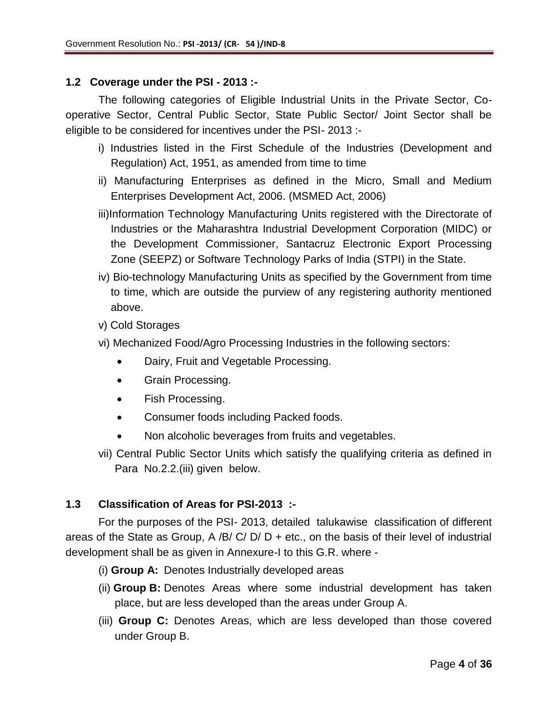### **1.2 Coverage under the PSI - 2013 :-**

The following categories of Eligible Industrial Units in the Private Sector, Cooperative Sector, Central Public Sector, State Public Sector/ Joint Sector shall be eligible to be considered for incentives under the PSI- 2013 :-

- i) Industries listed in the First Schedule of the Industries (Development and Regulation) Act, 1951, as amended from time to time
- ii) Manufacturing Enterprises as defined in the Micro, Small and Medium Enterprises Development Act, 2006. (MSMED Act, 2006)
- iii)Information Technology Manufacturing Units registered with the Directorate of Industries or the Maharashtra Industrial Development Corporation (MIDC) or the Development Commissioner, Santacruz Electronic Export Processing Zone (SEEPZ) or Software Technology Parks of India (STPI) in the State.
- iv) Bio-technology Manufacturing Units as specified by the Government from time to time, which are outside the purview of any registering authority mentioned above.
- v) Cold Storages
- vi) Mechanized Food/Agro Processing Industries in the following sectors:
	- Dairy, Fruit and Vegetable Processing.
	- Grain Processing.
	- Fish Processing.
	- Consumer foods including Packed foods.
	- Non alcoholic beverages from fruits and vegetables.
- vii) Central Public Sector Units which satisfy the qualifying criteria as defined in Para No.2.2.(iii) given below.

### **1.3 Classification of Areas for PSI-2013 :-**

For the purposes of the PSI- 2013, detailed talukawise classification of different areas of the State as Group, A /B/ C/ D/ D + etc., on the basis of their level of industrial development shall be as given in Annexure-I to this G.R. where -

- (i) **Group A:** Denotes Industrially developed areas
- (ii) **Group B:** Denotes Areas where some industrial development has taken place, but are less developed than the areas under Group A.
- (iii) **Group C:** Denotes Areas, which are less developed than those covered under Group B.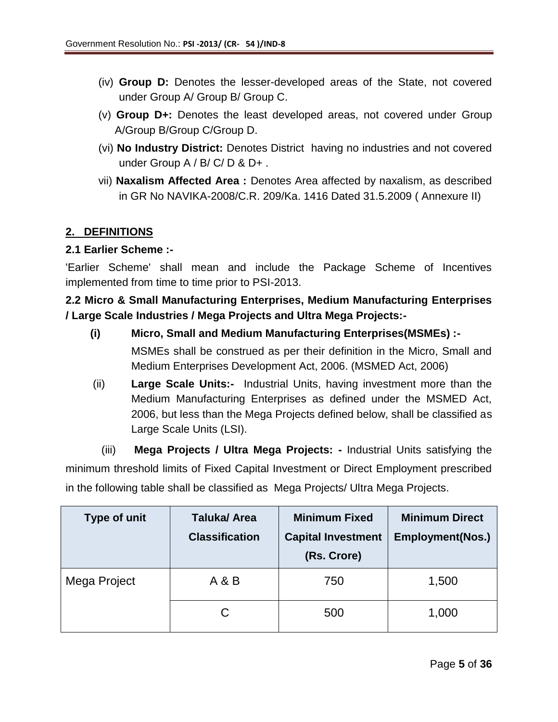- (iv) **Group D:** Denotes the lesser-developed areas of the State, not covered under Group A/ Group B/ Group C.
- (v) **Group D+:** Denotes the least developed areas, not covered under Group A/Group B/Group C/Group D.
- (vi) **No Industry District:** Denotes District having no industries and not covered under Group A / B/ C/ D & D+.
- vii) **Naxalism Affected Area :** Denotes Area affected by naxalism, as described in GR No NAVIKA-2008/C.R. 209/Ka. 1416 Dated 31.5.2009 ( Annexure II)

## **2. DEFINITIONS**

### **2.1 Earlier Scheme :-**

'Earlier Scheme' shall mean and include the Package Scheme of Incentives implemented from time to time prior to PSI-2013.

## **2.2 Micro & Small Manufacturing Enterprises, Medium Manufacturing Enterprises / Large Scale Industries / Mega Projects and Ultra Mega Projects:-**

- **(i) Micro, Small and Medium Manufacturing Enterprises(MSMEs) :-** MSMEs shall be construed as per their definition in the Micro, Small and Medium Enterprises Development Act, 2006. (MSMED Act, 2006)
- (ii) **Large Scale Units:-** Industrial Units, having investment more than the Medium Manufacturing Enterprises as defined under the MSMED Act, 2006, but less than the Mega Projects defined below, shall be classified as Large Scale Units (LSI).

(iii) **Mega Projects / Ultra Mega Projects: -** Industrial Units satisfying the minimum threshold limits of Fixed Capital Investment or Direct Employment prescribed in the following table shall be classified as Mega Projects/ Ultra Mega Projects.

| Type of unit | <b>Taluka/Area</b><br><b>Classification</b> | <b>Minimum Fixed</b><br><b>Capital Investment</b><br>(Rs. Crore) | <b>Minimum Direct</b><br><b>Employment(Nos.)</b> |
|--------------|---------------------------------------------|------------------------------------------------------------------|--------------------------------------------------|
| Mega Project | A & B                                       | 750                                                              | 1,500                                            |
|              | С                                           | 500                                                              | 1,000                                            |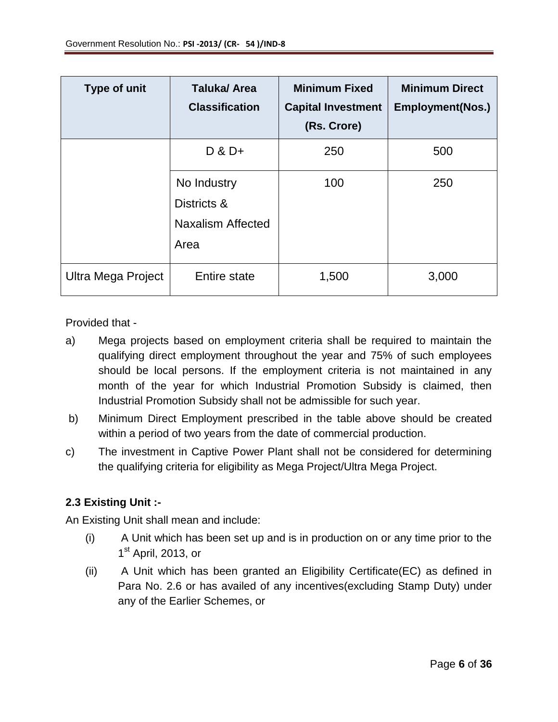| <b>Type of unit</b> | <b>Taluka/Area</b><br><b>Classification</b>                    | <b>Minimum Fixed</b><br><b>Capital Investment</b><br>(Rs. Crore) | <b>Minimum Direct</b><br><b>Employment(Nos.)</b> |
|---------------------|----------------------------------------------------------------|------------------------------------------------------------------|--------------------------------------------------|
|                     | $D$ & $D+$                                                     | 250                                                              | 500                                              |
|                     | No Industry<br>Districts &<br><b>Naxalism Affected</b><br>Area | 100                                                              | 250                                              |
| Ultra Mega Project  | Entire state                                                   | 1,500                                                            | 3,000                                            |

Provided that -

- a) Mega projects based on employment criteria shall be required to maintain the qualifying direct employment throughout the year and 75% of such employees should be local persons. If the employment criteria is not maintained in any month of the year for which Industrial Promotion Subsidy is claimed, then Industrial Promotion Subsidy shall not be admissible for such year.
- b) Minimum Direct Employment prescribed in the table above should be created within a period of two years from the date of commercial production.
- c) The investment in Captive Power Plant shall not be considered for determining the qualifying criteria for eligibility as Mega Project/Ultra Mega Project.

## **2.3 Existing Unit :-**

An Existing Unit shall mean and include:

- (i) A Unit which has been set up and is in production on or any time prior to the 1<sup>st</sup> April, 2013, or
- (ii) A Unit which has been granted an Eligibility Certificate(EC) as defined in Para No. 2.6 or has availed of any incentives(excluding Stamp Duty) under any of the Earlier Schemes, or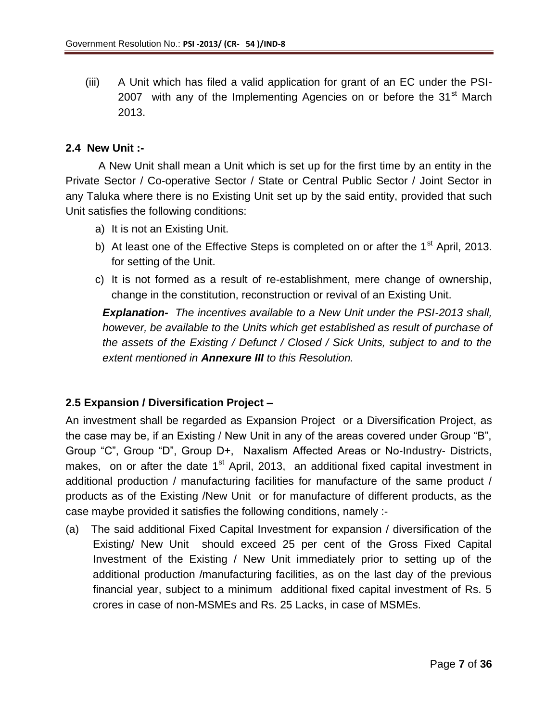(iii) A Unit which has filed a valid application for grant of an EC under the PSI-2007 with any of the Implementing Agencies on or before the 31<sup>st</sup> March 2013.

### **2.4 New Unit :-**

A New Unit shall mean a Unit which is set up for the first time by an entity in the Private Sector / Co-operative Sector / State or Central Public Sector / Joint Sector in any Taluka where there is no Existing Unit set up by the said entity, provided that such Unit satisfies the following conditions:

- a) It is not an Existing Unit.
- b) At least one of the Effective Steps is completed on or after the  $1<sup>st</sup>$  April, 2013. for setting of the Unit.
- c) It is not formed as a result of re-establishment, mere change of ownership, change in the constitution, reconstruction or revival of an Existing Unit.

*Explanation- The incentives available to a New Unit under the PSI-2013 shall, however, be available to the Units which get established as result of purchase of the assets of the Existing / Defunct / Closed / Sick Units, subject to and to the extent mentioned in Annexure III to this Resolution.* 

## **2.5 Expansion / Diversification Project –**

An investment shall be regarded as Expansion Project or a Diversification Project, as the case may be, if an Existing / New Unit in any of the areas covered under Group "B", Group "C", Group "D", Group D+, Naxalism Affected Areas or No-Industry- Districts, makes, on or after the date  $1<sup>st</sup>$  April, 2013, an additional fixed capital investment in additional production / manufacturing facilities for manufacture of the same product / products as of the Existing /New Unit or for manufacture of different products, as the case maybe provided it satisfies the following conditions, namely :-

(a) The said additional Fixed Capital Investment for expansion / diversification of the Existing/ New Unit should exceed 25 per cent of the Gross Fixed Capital Investment of the Existing / New Unit immediately prior to setting up of the additional production /manufacturing facilities, as on the last day of the previous financial year, subject to a minimum additional fixed capital investment of Rs. 5 crores in case of non-MSMEs and Rs. 25 Lacks, in case of MSMEs.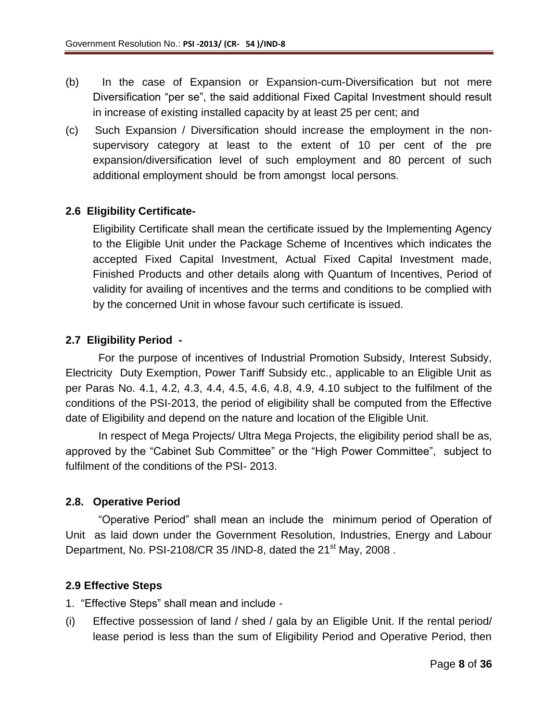- (b) In the case of Expansion or Expansion-cum-Diversification but not mere Diversification "per se", the said additional Fixed Capital Investment should result in increase of existing installed capacity by at least 25 per cent; and
- (c) Such Expansion / Diversification should increase the employment in the nonsupervisory category at least to the extent of 10 per cent of the pre expansion/diversification level of such employment and 80 percent of such additional employment should be from amongst local persons.

### **2.6 Eligibility Certificate-**

Eligibility Certificate shall mean the certificate issued by the Implementing Agency to the Eligible Unit under the Package Scheme of Incentives which indicates the accepted Fixed Capital Investment, Actual Fixed Capital Investment made, Finished Products and other details along with Quantum of Incentives, Period of validity for availing of incentives and the terms and conditions to be complied with by the concerned Unit in whose favour such certificate is issued.

## **2.7 Eligibility Period -**

For the purpose of incentives of Industrial Promotion Subsidy, Interest Subsidy, Electricity Duty Exemption, Power Tariff Subsidy etc., applicable to an Eligible Unit as per Paras No. 4.1, 4.2, 4.3, 4.4, 4.5, 4.6, 4.8, 4.9, 4.10 subject to the fulfilment of the conditions of the PSI-2013, the period of eligibility shall be computed from the Effective date of Eligibility and depend on the nature and location of the Eligible Unit.

In respect of Mega Projects/ Ultra Mega Projects, the eligibility period shall be as, approved by the "Cabinet Sub Committee" or the "High Power Committee", subject to fulfilment of the conditions of the PSI- 2013.

### **2.8. Operative Period**

"Operative Period" shall mean an include the minimum period of Operation of Unit as laid down under the Government Resolution, Industries, Energy and Labour Department, No. PSI-2108/CR 35 /IND-8, dated the  $21<sup>st</sup>$  May, 2008.

### **2.9 Effective Steps**

- 1. "Effective Steps" shall mean and include -
- (i) Effective possession of land / shed / gala by an Eligible Unit. If the rental period/ lease period is less than the sum of Eligibility Period and Operative Period, then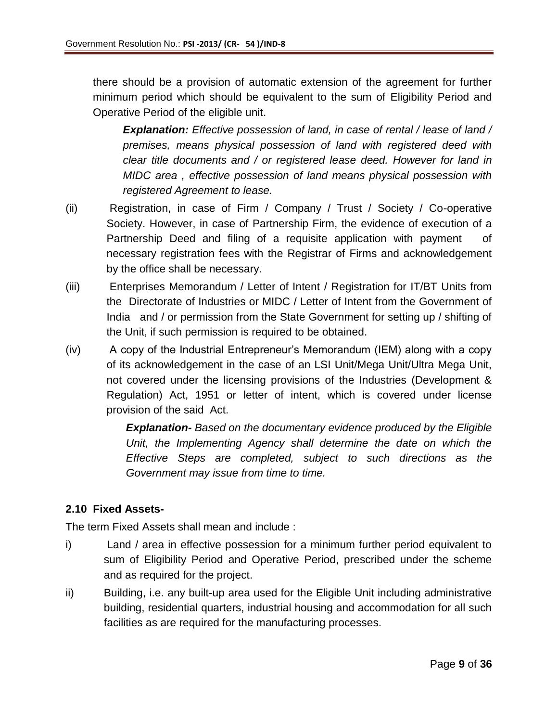there should be a provision of automatic extension of the agreement for further minimum period which should be equivalent to the sum of Eligibility Period and Operative Period of the eligible unit.

*Explanation: Effective possession of land, in case of rental / lease of land / premises, means physical possession of land with registered deed with clear title documents and / or registered lease deed. However for land in MIDC area , effective possession of land means physical possession with registered Agreement to lease.*

- (ii) Registration, in case of Firm / Company / Trust / Society / Co-operative Society. However, in case of Partnership Firm, the evidence of execution of a Partnership Deed and filing of a requisite application with payment of necessary registration fees with the Registrar of Firms and acknowledgement by the office shall be necessary.
- (iii) Enterprises Memorandum / Letter of Intent / Registration for IT/BT Units from the Directorate of Industries or MIDC / Letter of Intent from the Government of India and / or permission from the State Government for setting up / shifting of the Unit, if such permission is required to be obtained.
- (iv) A copy of the Industrial Entrepreneur's Memorandum (IEM) along with a copy of its acknowledgement in the case of an LSI Unit/Mega Unit/Ultra Mega Unit, not covered under the licensing provisions of the Industries (Development & Regulation) Act, 1951 or letter of intent, which is covered under license provision of the said Act.

*Explanation- Based on the documentary evidence produced by the Eligible Unit, the Implementing Agency shall determine the date on which the Effective Steps are completed, subject to such directions as the Government may issue from time to time.* 

## **2.10 Fixed Assets-**

The term Fixed Assets shall mean and include :

- i) Land / area in effective possession for a minimum further period equivalent to sum of Eligibility Period and Operative Period, prescribed under the scheme and as required for the project.
- ii) Building, i.e. any built-up area used for the Eligible Unit including administrative building, residential quarters, industrial housing and accommodation for all such facilities as are required for the manufacturing processes.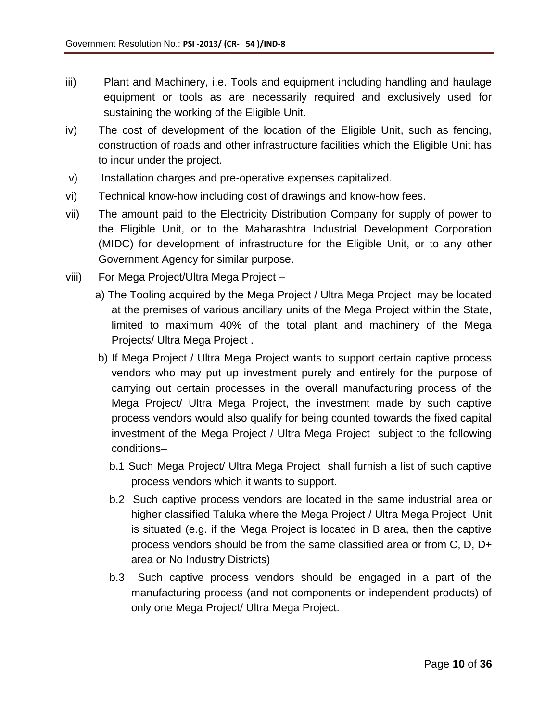- iii) Plant and Machinery, i.e. Tools and equipment including handling and haulage equipment or tools as are necessarily required and exclusively used for sustaining the working of the Eligible Unit.
- iv) The cost of development of the location of the Eligible Unit, such as fencing, construction of roads and other infrastructure facilities which the Eligible Unit has to incur under the project.
- v) Installation charges and pre-operative expenses capitalized.
- vi) Technical know-how including cost of drawings and know-how fees.
- vii) The amount paid to the Electricity Distribution Company for supply of power to the Eligible Unit, or to the Maharashtra Industrial Development Corporation (MIDC) for development of infrastructure for the Eligible Unit, or to any other Government Agency for similar purpose.
- viii) For Mega Project/Ultra Mega Project
	- a) The Tooling acquired by the Mega Project / Ultra Mega Project may be located at the premises of various ancillary units of the Mega Project within the State, limited to maximum 40% of the total plant and machinery of the Mega Projects/ Ultra Mega Project .
	- b) If Mega Project / Ultra Mega Project wants to support certain captive process vendors who may put up investment purely and entirely for the purpose of carrying out certain processes in the overall manufacturing process of the Mega Project/ Ultra Mega Project, the investment made by such captive process vendors would also qualify for being counted towards the fixed capital investment of the Mega Project / Ultra Mega Project subject to the following conditions–
		- b.1 Such Mega Project/ Ultra Mega Project shall furnish a list of such captive process vendors which it wants to support.
		- b.2 Such captive process vendors are located in the same industrial area or higher classified Taluka where the Mega Project / Ultra Mega Project Unit is situated (e.g. if the Mega Project is located in B area, then the captive process vendors should be from the same classified area or from C, D, D+ area or No Industry Districts)
		- b.3 Such captive process vendors should be engaged in a part of the manufacturing process (and not components or independent products) of only one Mega Project/ Ultra Mega Project.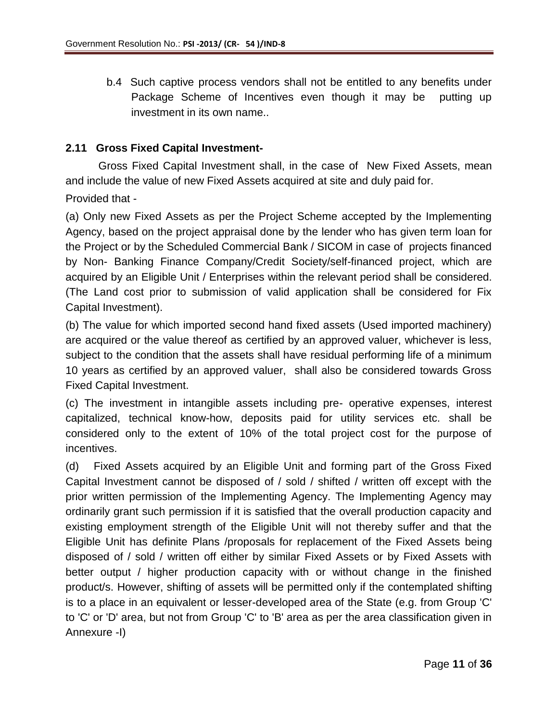b.4 Such captive process vendors shall not be entitled to any benefits under Package Scheme of Incentives even though it may be putting up investment in its own name..

### **2.11 Gross Fixed Capital Investment-**

Gross Fixed Capital Investment shall, in the case of New Fixed Assets, mean and include the value of new Fixed Assets acquired at site and duly paid for.

Provided that -

(a) Only new Fixed Assets as per the Project Scheme accepted by the Implementing Agency, based on the project appraisal done by the lender who has given term loan for the Project or by the Scheduled Commercial Bank / SICOM in case of projects financed by Non- Banking Finance Company/Credit Society/self-financed project, which are acquired by an Eligible Unit / Enterprises within the relevant period shall be considered. (The Land cost prior to submission of valid application shall be considered for Fix Capital Investment).

(b) The value for which imported second hand fixed assets (Used imported machinery) are acquired or the value thereof as certified by an approved valuer, whichever is less, subject to the condition that the assets shall have residual performing life of a minimum 10 years as certified by an approved valuer, shall also be considered towards Gross Fixed Capital Investment.

(c) The investment in intangible assets including pre- operative expenses, interest capitalized, technical know-how, deposits paid for utility services etc. shall be considered only to the extent of 10% of the total project cost for the purpose of incentives.

(d) Fixed Assets acquired by an Eligible Unit and forming part of the Gross Fixed Capital Investment cannot be disposed of / sold / shifted / written off except with the prior written permission of the Implementing Agency. The Implementing Agency may ordinarily grant such permission if it is satisfied that the overall production capacity and existing employment strength of the Eligible Unit will not thereby suffer and that the Eligible Unit has definite Plans /proposals for replacement of the Fixed Assets being disposed of / sold / written off either by similar Fixed Assets or by Fixed Assets with better output / higher production capacity with or without change in the finished product/s. However, shifting of assets will be permitted only if the contemplated shifting is to a place in an equivalent or lesser-developed area of the State (e.g. from Group 'C' to 'C' or 'D' area, but not from Group 'C' to 'B' area as per the area classification given in Annexure -I)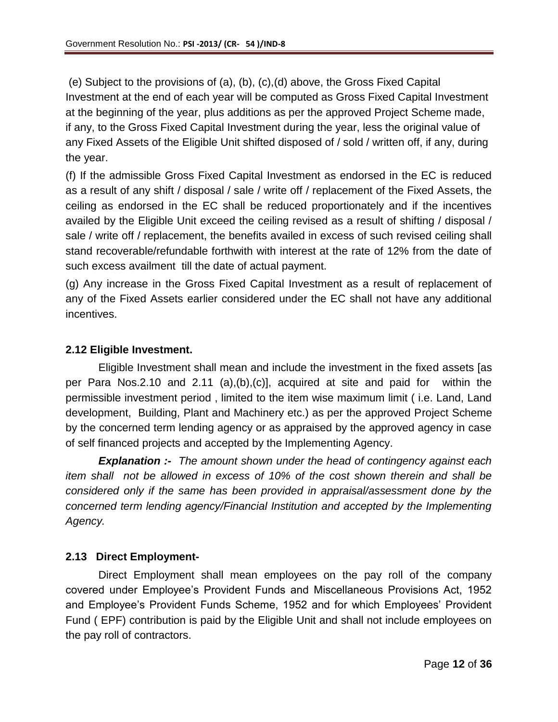(e) Subject to the provisions of (a), (b), (c),(d) above, the Gross Fixed Capital Investment at the end of each year will be computed as Gross Fixed Capital Investment at the beginning of the year, plus additions as per the approved Project Scheme made, if any, to the Gross Fixed Capital Investment during the year, less the original value of any Fixed Assets of the Eligible Unit shifted disposed of / sold / written off, if any, during the year.

(f) If the admissible Gross Fixed Capital Investment as endorsed in the EC is reduced as a result of any shift / disposal / sale / write off / replacement of the Fixed Assets, the ceiling as endorsed in the EC shall be reduced proportionately and if the incentives availed by the Eligible Unit exceed the ceiling revised as a result of shifting / disposal / sale / write off / replacement, the benefits availed in excess of such revised ceiling shall stand recoverable/refundable forthwith with interest at the rate of 12% from the date of such excess availment till the date of actual payment.

(g) Any increase in the Gross Fixed Capital Investment as a result of replacement of any of the Fixed Assets earlier considered under the EC shall not have any additional incentives.

### **2.12 Eligible Investment.**

Eligible Investment shall mean and include the investment in the fixed assets [as per Para Nos.2.10 and 2.11 (a),(b),(c)], acquired at site and paid for within the permissible investment period , limited to the item wise maximum limit ( i.e. Land, Land development, Building, Plant and Machinery etc.) as per the approved Project Scheme by the concerned term lending agency or as appraised by the approved agency in case of self financed projects and accepted by the Implementing Agency.

*Explanation :- The amount shown under the head of contingency against each item shall not be allowed in excess of 10% of the cost shown therein and shall be considered only if the same has been provided in appraisal/assessment done by the concerned term lending agency/Financial Institution and accepted by the Implementing Agency.*

### **2.13 Direct Employment-**

Direct Employment shall mean employees on the pay roll of the company covered under Employee's Provident Funds and Miscellaneous Provisions Act, 1952 and Employee's Provident Funds Scheme, 1952 and for which Employees' Provident Fund ( EPF) contribution is paid by the Eligible Unit and shall not include employees on the pay roll of contractors.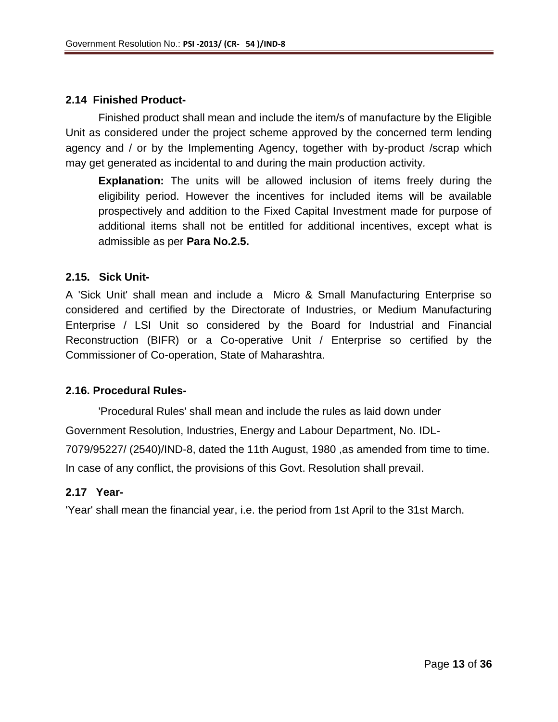### **2.14 Finished Product-**

Finished product shall mean and include the item/s of manufacture by the Eligible Unit as considered under the project scheme approved by the concerned term lending agency and / or by the Implementing Agency, together with by-product /scrap which may get generated as incidental to and during the main production activity*.* 

**Explanation:** The units will be allowed inclusion of items freely during the eligibility period. However the incentives for included items will be available prospectively and addition to the Fixed Capital Investment made for purpose of additional items shall not be entitled for additional incentives, except what is admissible as per **Para No.2.5.** 

### **2.15. Sick Unit-**

A 'Sick Unit' shall mean and include a Micro & Small Manufacturing Enterprise so considered and certified by the Directorate of Industries, or Medium Manufacturing Enterprise / LSI Unit so considered by the Board for Industrial and Financial Reconstruction (BIFR) or a Co-operative Unit / Enterprise so certified by the Commissioner of Co-operation, State of Maharashtra.

### **2.16. Procedural Rules-**

'Procedural Rules' shall mean and include the rules as laid down under Government Resolution, Industries, Energy and Labour Department, No. IDL-7079/95227/ (2540)/IND-8, dated the 11th August, 1980 ,as amended from time to time. In case of any conflict, the provisions of this Govt. Resolution shall prevail.

### **2.17 Year-**

'Year' shall mean the financial year, i.e. the period from 1st April to the 31st March.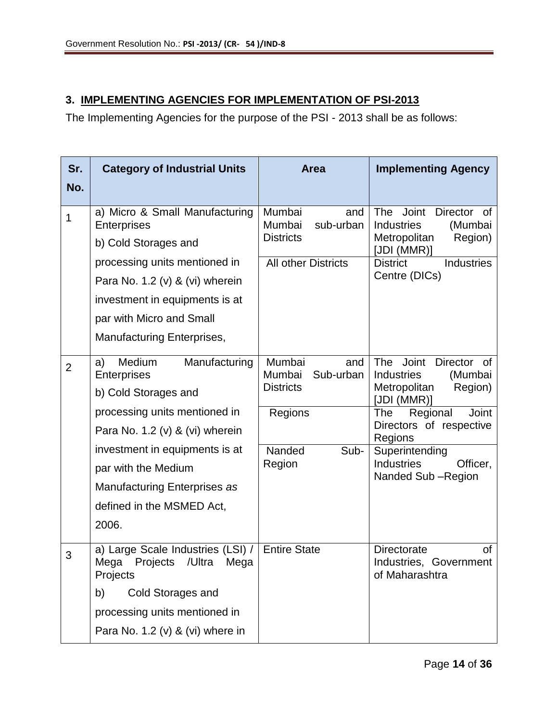## **3. IMPLEMENTING AGENCIES FOR IMPLEMENTATION OF PSI-2013**

The Implementing Agencies for the purpose of the PSI - 2013 shall be as follows:

| Sr.            | <b>Category of Industrial Units</b>                                                 | <b>Area</b>                                              | <b>Implementing Agency</b>                                                                |  |
|----------------|-------------------------------------------------------------------------------------|----------------------------------------------------------|-------------------------------------------------------------------------------------------|--|
| No.            |                                                                                     |                                                          |                                                                                           |  |
| 1              | a) Micro & Small Manufacturing<br><b>Enterprises</b>                                | Mumbai<br>and<br>Mumbai<br>sub-urban                     | Joint<br>The<br><b>Director</b><br>0f<br><b>Industries</b><br>(Mumbai                     |  |
|                | b) Cold Storages and                                                                | <b>Districts</b>                                         | Metropolitan<br>Region)<br>[JDI (MMR)]                                                    |  |
|                | processing units mentioned in                                                       | <b>All other Districts</b>                               | <b>District</b><br><b>Industries</b>                                                      |  |
|                | Para No. 1.2 (v) & (vi) wherein                                                     |                                                          | Centre (DICs)                                                                             |  |
|                | investment in equipments is at                                                      |                                                          |                                                                                           |  |
|                | par with Micro and Small                                                            |                                                          |                                                                                           |  |
|                | <b>Manufacturing Enterprises,</b>                                                   |                                                          |                                                                                           |  |
| $\overline{2}$ | Medium<br>Manufacturing<br>a)<br>Enterprises                                        | Mumbai<br>and<br>Mumbai<br>Sub-urban<br><b>Districts</b> | Joint<br>Director<br>The<br>0f<br><b>Industries</b><br>(Mumbai<br>Metropolitan<br>Region) |  |
|                | b) Cold Storages and                                                                |                                                          | [JDI (MMR)]                                                                               |  |
|                | processing units mentioned in                                                       | Regions                                                  | Regional<br>The<br><b>Joint</b><br>Directors of respective                                |  |
|                | Para No. 1.2 (v) & (vi) wherein                                                     |                                                          | Regions                                                                                   |  |
|                | investment in equipments is at                                                      | Nanded<br>Sub-<br>Region                                 | Superintending<br><b>Industries</b><br>Officer,                                           |  |
|                | par with the Medium                                                                 |                                                          | Nanded Sub-Region                                                                         |  |
|                | Manufacturing Enterprises as                                                        |                                                          |                                                                                           |  |
|                | defined in the MSMED Act,                                                           |                                                          |                                                                                           |  |
|                | 2006.                                                                               |                                                          |                                                                                           |  |
| 3              | a) Large Scale Industries (LSI) /<br>Mega<br>Projects<br>/Ultra<br>Mega<br>Projects | <b>Entire State</b>                                      | <b>Directorate</b><br>of<br>Industries,<br>Government<br>of Maharashtra                   |  |
|                | <b>Cold Storages and</b><br>b)                                                      |                                                          |                                                                                           |  |
|                | processing units mentioned in                                                       |                                                          |                                                                                           |  |
|                | Para No. 1.2 (v) & (vi) where in                                                    |                                                          |                                                                                           |  |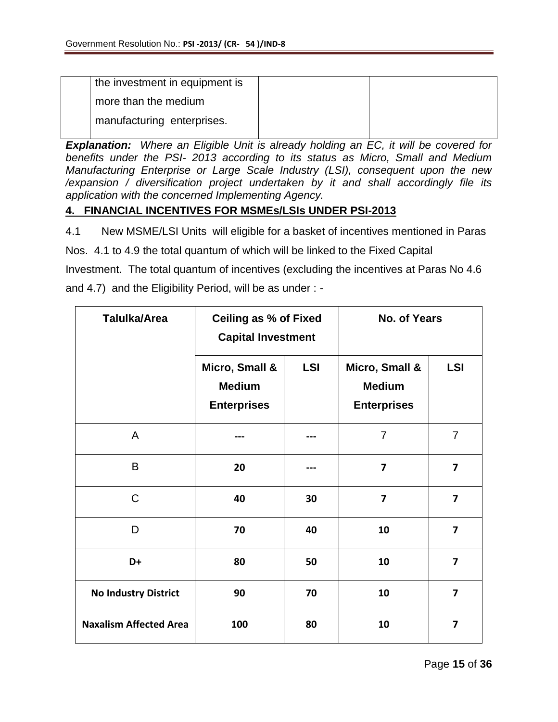| the investment in equipment is |  |
|--------------------------------|--|
| more than the medium           |  |
| manufacturing enterprises.     |  |

*Explanation: Where an Eligible Unit is already holding an EC, it will be covered for benefits under the PSI- 2013 according to its status as Micro, Small and Medium Manufacturing Enterprise or Large Scale Industry (LSI), consequent upon the new /expansion / diversification project undertaken by it and shall accordingly file its application with the concerned Implementing Agency.* 

### **4. FINANCIAL INCENTIVES FOR MSMEs/LSIs UNDER PSI-2013**

4.1 New MSME/LSI Units will eligible for a basket of incentives mentioned in Paras

Nos. 4.1 to 4.9 the total quantum of which will be linked to the Fixed Capital

Investment. The total quantum of incentives (excluding the incentives at Paras No 4.6 and 4.7) and the Eligibility Period, will be as under : -

| <b>Talulka/Area</b>           | <b>Ceiling as % of Fixed</b><br><b>Capital Investment</b>           |    | <b>No. of Years</b>                                   |                         |
|-------------------------------|---------------------------------------------------------------------|----|-------------------------------------------------------|-------------------------|
|                               | Micro, Small &<br><b>LSI</b><br><b>Medium</b><br><b>Enterprises</b> |    | Micro, Small &<br><b>Medium</b><br><b>Enterprises</b> | <b>LSI</b>              |
| $\mathsf{A}$                  |                                                                     |    | $\overline{7}$                                        | $\overline{7}$          |
| B                             | 20                                                                  |    | 7                                                     | $\overline{\mathbf{z}}$ |
| $\mathsf{C}$                  | 40                                                                  | 30 | 7                                                     | $\overline{\mathbf{z}}$ |
| D                             | 70                                                                  | 40 | 10                                                    | $\overline{7}$          |
| D+                            | 80                                                                  | 50 | 10                                                    | $\overline{7}$          |
| <b>No Industry District</b>   | 90                                                                  | 70 | 10                                                    | $\overline{7}$          |
| <b>Naxalism Affected Area</b> | 100                                                                 | 80 | 10                                                    | $\overline{\mathbf{z}}$ |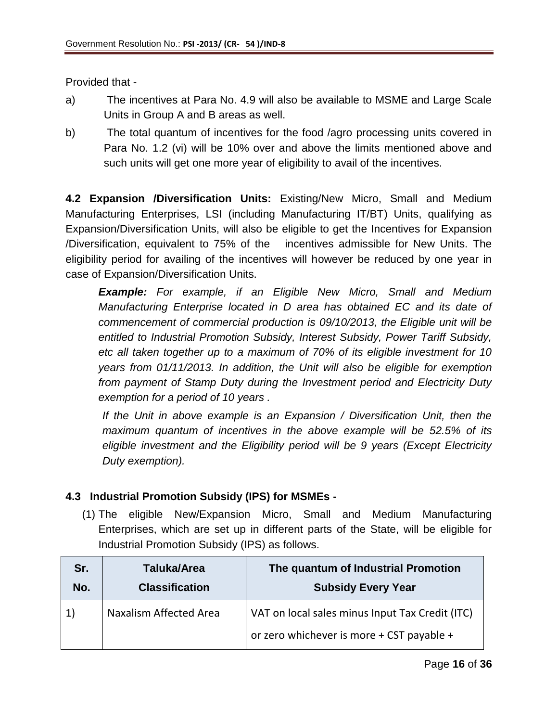Provided that -

- a) The incentives at Para No. 4.9 will also be available to MSME and Large Scale Units in Group A and B areas as well.
- b) The total quantum of incentives for the food /agro processing units covered in Para No. 1.2 (vi) will be 10% over and above the limits mentioned above and such units will get one more year of eligibility to avail of the incentives.

**4.2 Expansion /Diversification Units:** Existing/New Micro, Small and Medium Manufacturing Enterprises, LSI (including Manufacturing IT/BT) Units, qualifying as Expansion/Diversification Units, will also be eligible to get the Incentives for Expansion /Diversification, equivalent to 75% of the incentives admissible for New Units. The eligibility period for availing of the incentives will however be reduced by one year in case of Expansion/Diversification Units.

*Example: For example, if an Eligible New Micro, Small and Medium Manufacturing Enterprise located in D area has obtained EC and its date of commencement of commercial production is 09/10/2013, the Eligible unit will be entitled to Industrial Promotion Subsidy, Interest Subsidy, Power Tariff Subsidy, etc all taken together up to a maximum of 70% of its eligible investment for 10 years from 01/11/2013. In addition, the Unit will also be eligible for exemption from payment of Stamp Duty during the Investment period and Electricity Duty exemption for a period of 10 years .*

*If the Unit in above example is an Expansion / Diversification Unit, then the maximum quantum of incentives in the above example will be 52.5% of its eligible investment and the Eligibility period will be 9 years (Except Electricity Duty exemption).* 

## **4.3 Industrial Promotion Subsidy (IPS) for MSMEs -**

(1) The eligible New/Expansion Micro, Small and Medium Manufacturing Enterprises, which are set up in different parts of the State, will be eligible for Industrial Promotion Subsidy (IPS) as follows.

| Sr.       | Taluka/Area            | The quantum of Industrial Promotion                                                          |
|-----------|------------------------|----------------------------------------------------------------------------------------------|
| No.       | <b>Classification</b>  | <b>Subsidy Every Year</b>                                                                    |
| $\ket{1}$ | Naxalism Affected Area | VAT on local sales minus Input Tax Credit (ITC)<br>or zero whichever is more + CST payable + |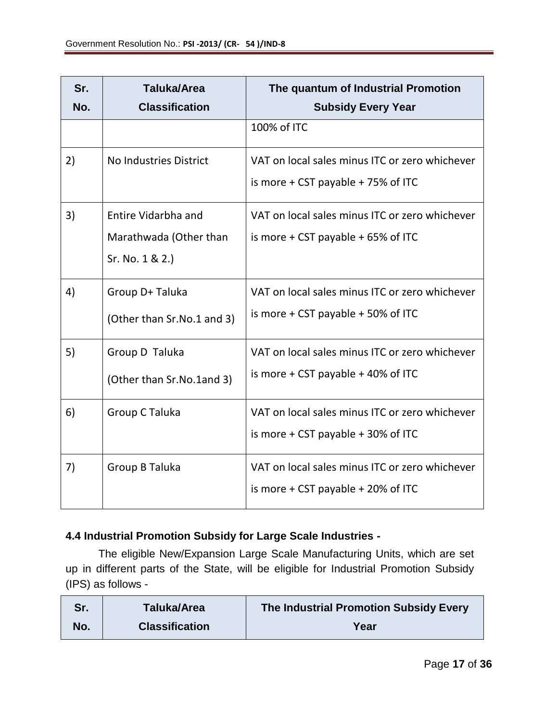| Sr.<br>No. | <b>Taluka/Area</b><br><b>Classification</b>                      | The quantum of Industrial Promotion<br><b>Subsidy Every Year</b>                         |
|------------|------------------------------------------------------------------|------------------------------------------------------------------------------------------|
|            |                                                                  | 100% of ITC                                                                              |
| 2)         | <b>No Industries District</b>                                    | VAT on local sales minus ITC or zero whichever<br>is more $+$ CST payable $+$ 75% of ITC |
| 3)         | Entire Vidarbha and<br>Marathwada (Other than<br>Sr. No. 1 & 2.) | VAT on local sales minus ITC or zero whichever<br>is more $+$ CST payable $+$ 65% of ITC |
| 4)         | Group D+ Taluka<br>(Other than Sr.No.1 and 3)                    | VAT on local sales minus ITC or zero whichever<br>is more $+$ CST payable $+$ 50% of ITC |
| 5)         | Group D Taluka<br>(Other than Sr.No.1and 3)                      | VAT on local sales minus ITC or zero whichever<br>is more $+$ CST payable $+$ 40% of ITC |
| 6)         | Group C Taluka                                                   | VAT on local sales minus ITC or zero whichever<br>is more $+$ CST payable $+$ 30% of ITC |
| 7)         | Group B Taluka                                                   | VAT on local sales minus ITC or zero whichever<br>is more $+$ CST payable $+$ 20% of ITC |

## **4.4 Industrial Promotion Subsidy for Large Scale Industries -**

The eligible New/Expansion Large Scale Manufacturing Units, which are set up in different parts of the State, will be eligible for Industrial Promotion Subsidy (IPS) as follows -

| Sr. | Taluka/Area           | The Industrial Promotion Subsidy Every |
|-----|-----------------------|----------------------------------------|
| No. | <b>Classification</b> | Year                                   |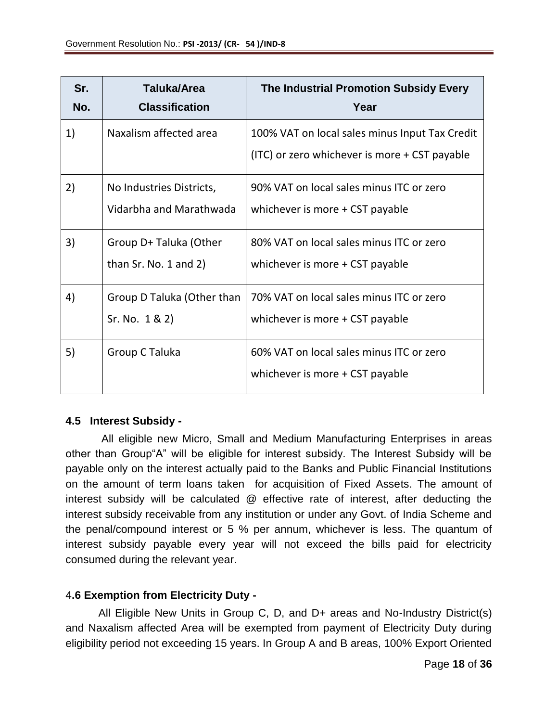| Sr.<br>No. | <b>Taluka/Area</b><br><b>Classification</b>         | The Industrial Promotion Subsidy Every<br>Year                                                  |
|------------|-----------------------------------------------------|-------------------------------------------------------------------------------------------------|
| 1)         | Naxalism affected area                              | 100% VAT on local sales minus Input Tax Credit<br>(ITC) or zero whichever is more + CST payable |
| 2)         | No Industries Districts,<br>Vidarbha and Marathwada | 90% VAT on local sales minus ITC or zero<br>whichever is more + CST payable                     |
| 3)         | Group D+ Taluka (Other<br>than $Sr. No. 1 and 2)$   | 80% VAT on local sales minus ITC or zero<br>whichever is more + CST payable                     |
| 4)         | Group D Taluka (Other than<br>Sr. No. 1 & 2)        | 70% VAT on local sales minus ITC or zero<br>whichever is more + CST payable                     |
| 5)         | Group C Taluka                                      | 60% VAT on local sales minus ITC or zero<br>whichever is more + CST payable                     |

## **4.5 Interest Subsidy -**

All eligible new Micro, Small and Medium Manufacturing Enterprises in areas other than Group"A" will be eligible for interest subsidy. The Interest Subsidy will be payable only on the interest actually paid to the Banks and Public Financial Institutions on the amount of term loans taken for acquisition of Fixed Assets. The amount of interest subsidy will be calculated @ effective rate of interest, after deducting the interest subsidy receivable from any institution or under any Govt. of India Scheme and the penal/compound interest or 5 % per annum, whichever is less. The quantum of interest subsidy payable every year will not exceed the bills paid for electricity consumed during the relevant year.

## 4**.6 Exemption from Electricity Duty -**

All Eligible New Units in Group C, D, and D+ areas and No-Industry District(s) and Naxalism affected Area will be exempted from payment of Electricity Duty during eligibility period not exceeding 15 years. In Group A and B areas, 100% Export Oriented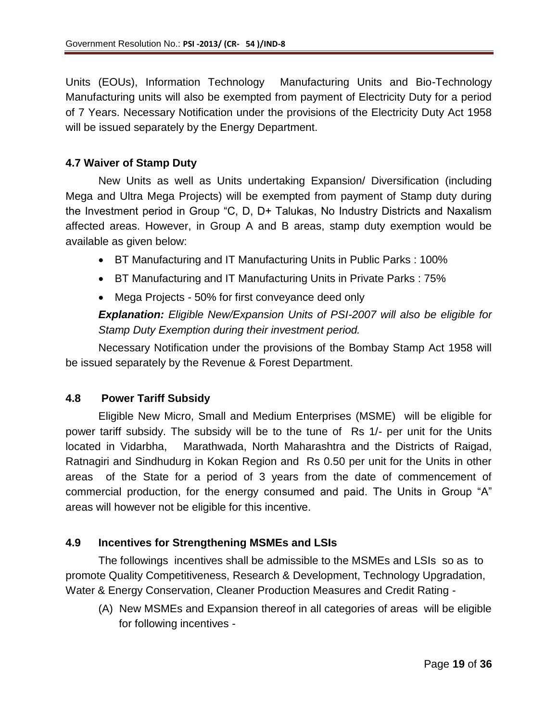Units (EOUs), Information Technology Manufacturing Units and Bio-Technology Manufacturing units will also be exempted from payment of Electricity Duty for a period of 7 Years. Necessary Notification under the provisions of the Electricity Duty Act 1958 will be issued separately by the Energy Department.

### **4.7 Waiver of Stamp Duty**

New Units as well as Units undertaking Expansion/ Diversification (including Mega and Ultra Mega Projects) will be exempted from payment of Stamp duty during the Investment period in Group "C, D, D+ Talukas, No Industry Districts and Naxalism affected areas. However, in Group A and B areas, stamp duty exemption would be available as given below:

- BT Manufacturing and IT Manufacturing Units in Public Parks : 100%
- BT Manufacturing and IT Manufacturing Units in Private Parks : 75%
- Mega Projects 50% for first conveyance deed only

*Explanation: Eligible New/Expansion Units of PSI-2007 will also be eligible for Stamp Duty Exemption during their investment period.* 

Necessary Notification under the provisions of the Bombay Stamp Act 1958 will be issued separately by the Revenue & Forest Department.

### **4.8 Power Tariff Subsidy**

Eligible New Micro, Small and Medium Enterprises (MSME) will be eligible for power tariff subsidy. The subsidy will be to the tune of Rs 1/- per unit for the Units located in Vidarbha, Marathwada, North Maharashtra and the Districts of Raigad, Ratnagiri and Sindhudurg in Kokan Region and Rs 0.50 per unit for the Units in other areas of the State for a period of 3 years from the date of commencement of commercial production, for the energy consumed and paid. The Units in Group "A" areas will however not be eligible for this incentive.

### **4.9 Incentives for Strengthening MSMEs and LSIs**

The followings incentives shall be admissible to the MSMEs and LSIs so as to promote Quality Competitiveness, Research & Development, Technology Upgradation, Water & Energy Conservation, Cleaner Production Measures and Credit Rating -

(A) New MSMEs and Expansion thereof in all categories of areas will be eligible for following incentives -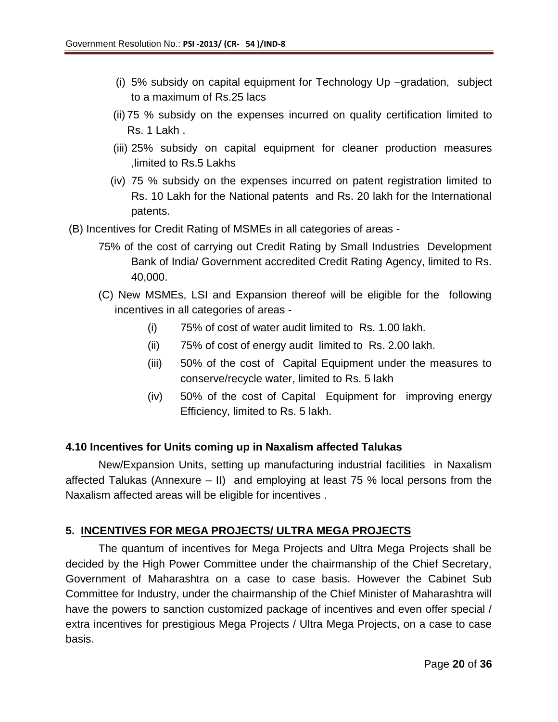- (i) 5% subsidy on capital equipment for Technology Up –gradation, subject to a maximum of Rs.25 lacs
- (ii) 75 % subsidy on the expenses incurred on quality certification limited to Rs. 1 Lakh .
- (iii) 25% subsidy on capital equipment for cleaner production measures ,limited to Rs.5 Lakhs
- (iv) 75 % subsidy on the expenses incurred on patent registration limited to Rs. 10 Lakh for the National patents and Rs. 20 lakh for the International patents.
- (B) Incentives for Credit Rating of MSMEs in all categories of areas
	- 75% of the cost of carrying out Credit Rating by Small Industries Development Bank of India/ Government accredited Credit Rating Agency, limited to Rs. 40,000.
	- (C) New MSMEs, LSI and Expansion thereof will be eligible for the following incentives in all categories of areas -
		- (i) 75% of cost of water audit limited to Rs. 1.00 lakh.
		- (ii) 75% of cost of energy audit limited to Rs. 2.00 lakh.
		- (iii) 50% of the cost of Capital Equipment under the measures to conserve/recycle water, limited to Rs. 5 lakh
		- (iv) 50% of the cost of Capital Equipment for improving energy Efficiency, limited to Rs. 5 lakh.

### **4.10 Incentives for Units coming up in Naxalism affected Talukas**

New/Expansion Units, setting up manufacturing industrial facilities in Naxalism affected Talukas (Annexure – II) and employing at least 75 % local persons from the Naxalism affected areas will be eligible for incentives .

## **5. INCENTIVES FOR MEGA PROJECTS/ ULTRA MEGA PROJECTS**

The quantum of incentives for Mega Projects and Ultra Mega Projects shall be decided by the High Power Committee under the chairmanship of the Chief Secretary, Government of Maharashtra on a case to case basis. However the Cabinet Sub Committee for Industry, under the chairmanship of the Chief Minister of Maharashtra will have the powers to sanction customized package of incentives and even offer special / extra incentives for prestigious Mega Projects / Ultra Mega Projects, on a case to case basis.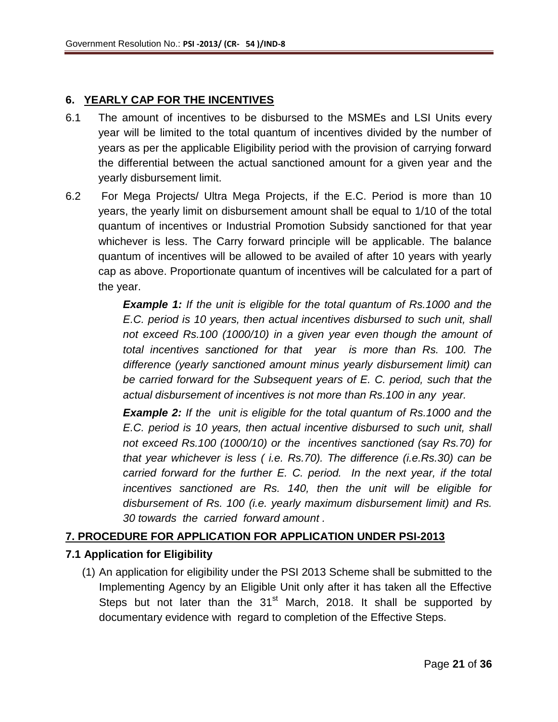## **6. YEARLY CAP FOR THE INCENTIVES**

- 6.1 The amount of incentives to be disbursed to the MSMEs and LSI Units every year will be limited to the total quantum of incentives divided by the number of years as per the applicable Eligibility period with the provision of carrying forward the differential between the actual sanctioned amount for a given year and the yearly disbursement limit.
- 6.2 For Mega Projects/ Ultra Mega Projects, if the E.C. Period is more than 10 years, the yearly limit on disbursement amount shall be equal to 1/10 of the total quantum of incentives or Industrial Promotion Subsidy sanctioned for that year whichever is less. The Carry forward principle will be applicable. The balance quantum of incentives will be allowed to be availed of after 10 years with yearly cap as above. Proportionate quantum of incentives will be calculated for a part of the year.

*Example 1: If the unit is eligible for the total quantum of Rs.1000 and the E.C. period is 10 years, then actual incentives disbursed to such unit, shall not exceed Rs.100 (1000/10) in a given year even though the amount of total incentives sanctioned for that year is more than Rs. 100. The difference (yearly sanctioned amount minus yearly disbursement limit) can be carried forward for the Subsequent years of E. C. period, such that the actual disbursement of incentives is not more than Rs.100 in any year.* 

*Example 2: If the unit is eligible for the total quantum of Rs.1000 and the E.C. period is 10 years, then actual incentive disbursed to such unit, shall not exceed Rs.100 (1000/10) or the incentives sanctioned (say Rs.70) for that year whichever is less ( i.e. Rs.70). The difference (i.e.Rs.30) can be carried forward for the further E. C. period. In the next year, if the total incentives sanctioned are Rs. 140, then the unit will be eligible for disbursement of Rs. 100 (i.e. yearly maximum disbursement limit) and Rs. 30 towards the carried forward amount .*

## **7. PROCEDURE FOR APPLICATION FOR APPLICATION UNDER PSI-2013**

### **7.1 Application for Eligibility**

(1) An application for eligibility under the PSI 2013 Scheme shall be submitted to the Implementing Agency by an Eligible Unit only after it has taken all the Effective Steps but not later than the  $31<sup>st</sup>$  March, 2018. It shall be supported by documentary evidence with regard to completion of the Effective Steps.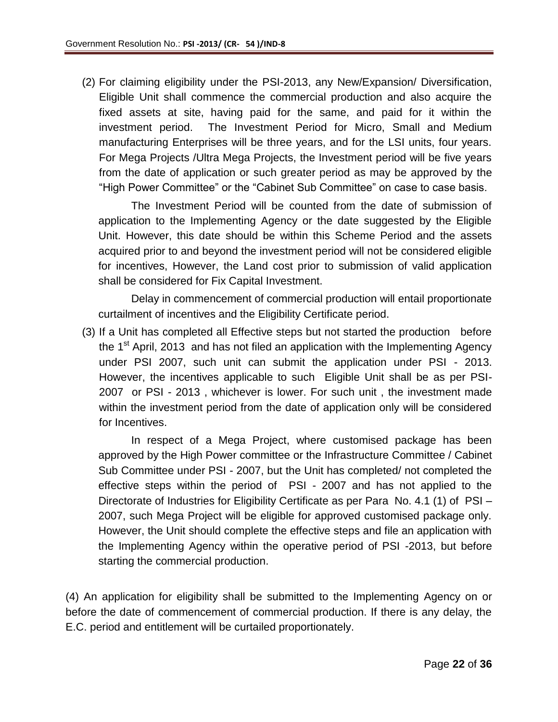(2) For claiming eligibility under the PSI-2013, any New/Expansion/ Diversification, Eligible Unit shall commence the commercial production and also acquire the fixed assets at site, having paid for the same, and paid for it within the investment period. The Investment Period for Micro, Small and Medium manufacturing Enterprises will be three years, and for the LSI units, four years. For Mega Projects /Ultra Mega Projects, the Investment period will be five years from the date of application or such greater period as may be approved by the "High Power Committee" or the "Cabinet Sub Committee" on case to case basis.

The Investment Period will be counted from the date of submission of application to the Implementing Agency or the date suggested by the Eligible Unit. However, this date should be within this Scheme Period and the assets acquired prior to and beyond the investment period will not be considered eligible for incentives, However, the Land cost prior to submission of valid application shall be considered for Fix Capital Investment.

Delay in commencement of commercial production will entail proportionate curtailment of incentives and the Eligibility Certificate period.

(3) If a Unit has completed all Effective steps but not started the production before the 1<sup>st</sup> April, 2013 and has not filed an application with the Implementing Agency under PSI 2007, such unit can submit the application under PSI - 2013. However, the incentives applicable to such Eligible Unit shall be as per PSI-2007 or PSI - 2013 , whichever is lower. For such unit , the investment made within the investment period from the date of application only will be considered for Incentives.

In respect of a Mega Project, where customised package has been approved by the High Power committee or the Infrastructure Committee / Cabinet Sub Committee under PSI - 2007, but the Unit has completed/ not completed the effective steps within the period of PSI - 2007 and has not applied to the Directorate of Industries for Eligibility Certificate as per Para No. 4.1 (1) of PSI – 2007, such Mega Project will be eligible for approved customised package only. However, the Unit should complete the effective steps and file an application with the Implementing Agency within the operative period of PSI -2013, but before starting the commercial production.

(4) An application for eligibility shall be submitted to the Implementing Agency on or before the date of commencement of commercial production. If there is any delay, the E.C. period and entitlement will be curtailed proportionately.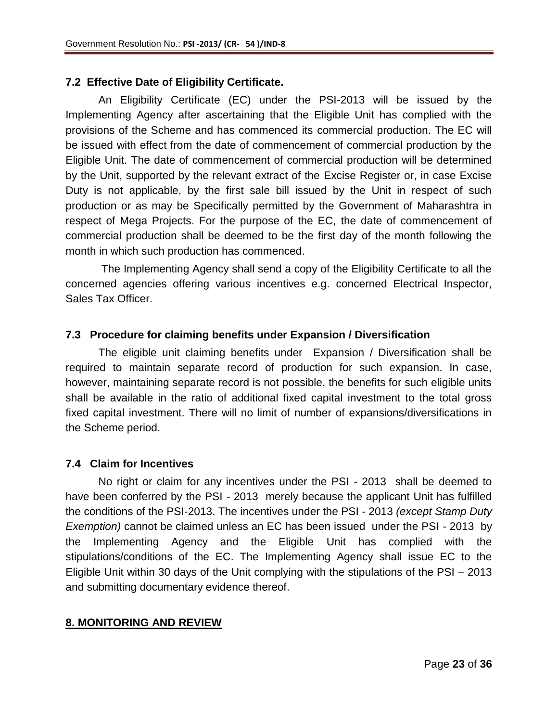## **7.2 Effective Date of Eligibility Certificate.**

An Eligibility Certificate (EC) under the PSI-2013 will be issued by the Implementing Agency after ascertaining that the Eligible Unit has complied with the provisions of the Scheme and has commenced its commercial production. The EC will be issued with effect from the date of commencement of commercial production by the Eligible Unit. The date of commencement of commercial production will be determined by the Unit, supported by the relevant extract of the Excise Register or, in case Excise Duty is not applicable, by the first sale bill issued by the Unit in respect of such production or as may be Specifically permitted by the Government of Maharashtra in respect of Mega Projects. For the purpose of the EC, the date of commencement of commercial production shall be deemed to be the first day of the month following the month in which such production has commenced.

The Implementing Agency shall send a copy of the Eligibility Certificate to all the concerned agencies offering various incentives e.g. concerned Electrical Inspector, Sales Tax Officer.

## **7.3 Procedure for claiming benefits under Expansion / Diversification**

The eligible unit claiming benefits under Expansion / Diversification shall be required to maintain separate record of production for such expansion. In case, however, maintaining separate record is not possible, the benefits for such eligible units shall be available in the ratio of additional fixed capital investment to the total gross fixed capital investment. There will no limit of number of expansions/diversifications in the Scheme period.

### **7.4 Claim for Incentives**

No right or claim for any incentives under the PSI - 2013 shall be deemed to have been conferred by the PSI - 2013 merely because the applicant Unit has fulfilled the conditions of the PSI-2013. The incentives under the PSI - 2013 *(except Stamp Duty Exemption)* cannot be claimed unless an EC has been issued under the PSI - 2013 by the Implementing Agency and the Eligible Unit has complied with the stipulations/conditions of the EC. The Implementing Agency shall issue EC to the Eligible Unit within 30 days of the Unit complying with the stipulations of the PSI – 2013 and submitting documentary evidence thereof.

## **8. MONITORING AND REVIEW**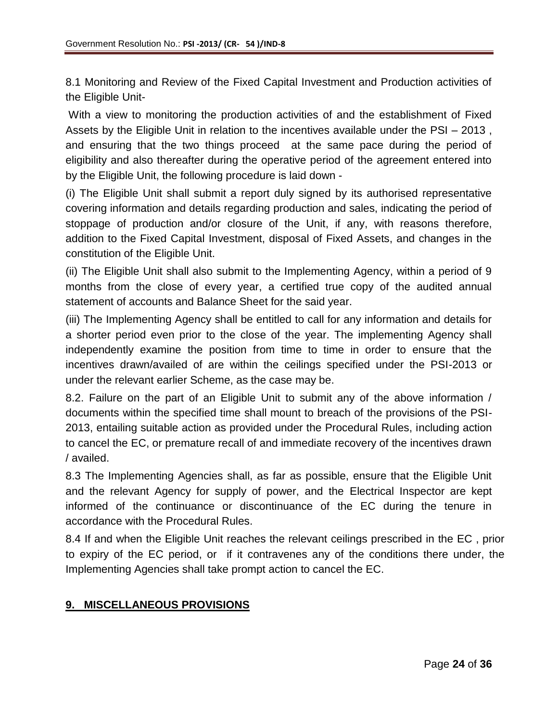8.1 Monitoring and Review of the Fixed Capital Investment and Production activities of the Eligible Unit-

With a view to monitoring the production activities of and the establishment of Fixed Assets by the Eligible Unit in relation to the incentives available under the PSI – 2013 , and ensuring that the two things proceed at the same pace during the period of eligibility and also thereafter during the operative period of the agreement entered into by the Eligible Unit, the following procedure is laid down -

(i) The Eligible Unit shall submit a report duly signed by its authorised representative covering information and details regarding production and sales, indicating the period of stoppage of production and/or closure of the Unit, if any, with reasons therefore, addition to the Fixed Capital Investment, disposal of Fixed Assets, and changes in the constitution of the Eligible Unit.

(ii) The Eligible Unit shall also submit to the Implementing Agency, within a period of 9 months from the close of every year, a certified true copy of the audited annual statement of accounts and Balance Sheet for the said year.

(iii) The Implementing Agency shall be entitled to call for any information and details for a shorter period even prior to the close of the year. The implementing Agency shall independently examine the position from time to time in order to ensure that the incentives drawn/availed of are within the ceilings specified under the PSI-2013 or under the relevant earlier Scheme, as the case may be.

8.2. Failure on the part of an Eligible Unit to submit any of the above information / documents within the specified time shall mount to breach of the provisions of the PSI-2013, entailing suitable action as provided under the Procedural Rules, including action to cancel the EC, or premature recall of and immediate recovery of the incentives drawn / availed.

8.3 The Implementing Agencies shall, as far as possible, ensure that the Eligible Unit and the relevant Agency for supply of power, and the Electrical Inspector are kept informed of the continuance or discontinuance of the EC during the tenure in accordance with the Procedural Rules.

8.4 If and when the Eligible Unit reaches the relevant ceilings prescribed in the EC , prior to expiry of the EC period, or if it contravenes any of the conditions there under, the Implementing Agencies shall take prompt action to cancel the EC.

## **9. MISCELLANEOUS PROVISIONS**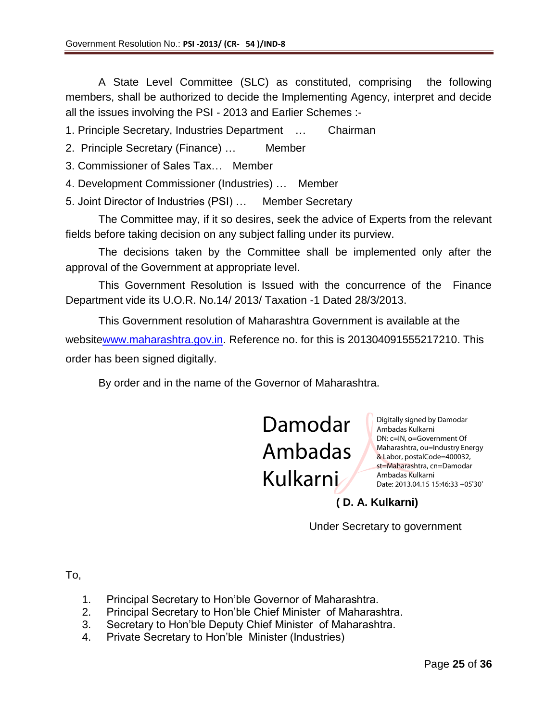A State Level Committee (SLC) as constituted, comprising the following members, shall be authorized to decide the Implementing Agency, interpret and decide all the issues involving the PSI - 2013 and Earlier Schemes :-

1. Principle Secretary, Industries Department … Chairman

- 2. Principle Secretary (Finance) … Member
- 3. Commissioner of Sales Tax… Member
- 4. Development Commissioner (Industries) … Member
- 5. Joint Director of Industries (PSI) … Member Secretary

The Committee may, if it so desires, seek the advice of Experts from the relevant fields before taking decision on any subject falling under its purview.

The decisions taken by the Committee shall be implemented only after the approval of the Government at appropriate level.

This Government Resolution is Issued with the concurrence of the Finance Department vide its U.O.R. No.14/ 2013/ Taxation -1 Dated 28/3/2013.

This Government resolution of Maharashtra Government is available at the websit[ewww.maharashtra.gov.in.](http://www.maharashtra.gov.in/) Reference no. for this is 201304091555217210. This order has been signed digitally.

By order and in the name of the Governor of Maharashtra.

Damodar Ambadas Kulkarni

Digitally signed by Damodar Ambadas Kulkarni DN: c=IN, o=Government Of Maharashtra, ou=Industry Energy & Labor, postalCode=400032, st=Maharashtra, cn=Damodar Ambadas Kulkarni Date: 2013.04.15 15:46:33 +05'30'

## **( D. A. Kulkarni)**

Under Secretary to government

To,

- 1. Principal Secretary to Hon'ble Governor of Maharashtra.
- 2. Principal Secretary to Hon'ble Chief Minister of Maharashtra.
- 3. Secretary to Hon'ble Deputy Chief Minister of Maharashtra.
- 4. Private Secretary to Hon'ble Minister (Industries)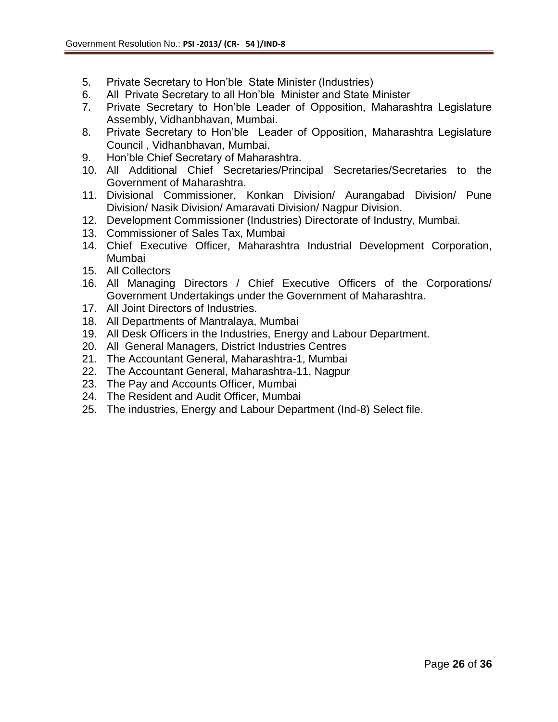- 5. Private Secretary to Hon'ble State Minister (Industries)
- 6. All Private Secretary to all Hon'ble Minister and State Minister
- 7. Private Secretary to Hon'ble Leader of Opposition, Maharashtra Legislature Assembly, Vidhanbhavan, Mumbai.
- 8. Private Secretary to Hon'ble Leader of Opposition, Maharashtra Legislature Council , Vidhanbhavan, Mumbai.
- 9. Hon'ble Chief Secretary of Maharashtra.
- 10. All Additional Chief Secretaries/Principal Secretaries/Secretaries to the Government of Maharashtra.
- 11. Divisional Commissioner, Konkan Division/ Aurangabad Division/ Pune Division/ Nasik Division/ Amaravati Division/ Nagpur Division.
- 12. Development Commissioner (Industries) Directorate of Industry, Mumbai.
- 13. Commissioner of Sales Tax, Mumbai
- 14. Chief Executive Officer, Maharashtra Industrial Development Corporation, Mumbai
- 15. All Collectors
- 16. All Managing Directors / Chief Executive Officers of the Corporations/ Government Undertakings under the Government of Maharashtra.
- 17. All Joint Directors of Industries.
- 18. All Departments of Mantralaya, Mumbai
- 19. All Desk Officers in the Industries, Energy and Labour Department.
- 20. All General Managers, District Industries Centres
- 21. The Accountant General, Maharashtra-1, Mumbai
- 22. The Accountant General, Maharashtra-11, Nagpur
- 23. The Pay and Accounts Officer, Mumbai
- 24. The Resident and Audit Officer, Mumbai
- 25. The industries, Energy and Labour Department (Ind-8) Select file.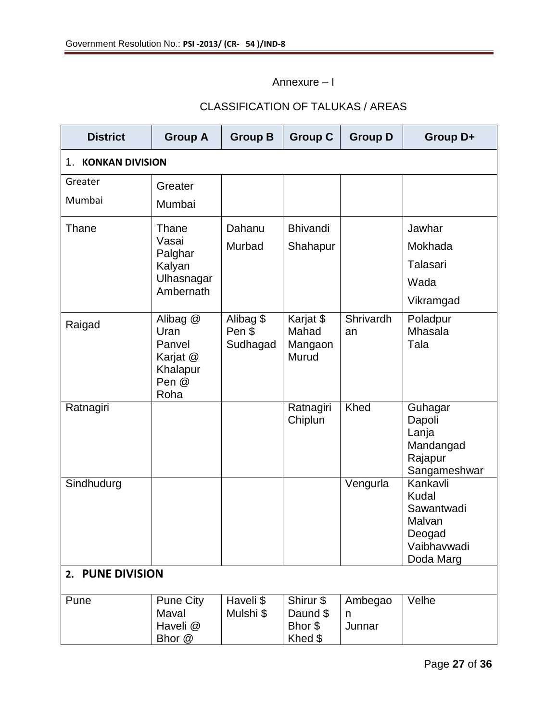Annexure – I

## CLASSIFICATION OF TALUKAS / AREAS

| <b>District</b>              | <b>Group A</b>                                                      | <b>Group B</b>                  | <b>Group C</b>                              | <b>Group D</b>         | Group D+                                                                        |  |  |
|------------------------------|---------------------------------------------------------------------|---------------------------------|---------------------------------------------|------------------------|---------------------------------------------------------------------------------|--|--|
| <b>KONKAN DIVISION</b><br>1. |                                                                     |                                 |                                             |                        |                                                                                 |  |  |
| Greater                      | Greater                                                             |                                 |                                             |                        |                                                                                 |  |  |
| Mumbai                       | Mumbai                                                              |                                 |                                             |                        |                                                                                 |  |  |
| Thane                        | Thane                                                               | Dahanu                          | <b>Bhivandi</b>                             |                        | Jawhar                                                                          |  |  |
|                              | Vasai<br>Palghar                                                    | Murbad                          | Shahapur                                    |                        | Mokhada                                                                         |  |  |
|                              | Kalyan                                                              |                                 |                                             |                        | <b>Talasari</b>                                                                 |  |  |
|                              | Ulhasnagar<br>Ambernath                                             |                                 |                                             |                        | Wada                                                                            |  |  |
|                              |                                                                     |                                 |                                             |                        | Vikramgad                                                                       |  |  |
| Raigad                       | Alibag @<br>Uran<br>Panvel<br>Karjat @<br>Khalapur<br>Pen @<br>Roha | Alibag \$<br>Pen \$<br>Sudhagad | Karjat \$<br>Mahad<br>Mangaon<br>Murud      | Shrivardh<br>an        | Poladpur<br>Mhasala<br>Tala                                                     |  |  |
| Ratnagiri                    |                                                                     |                                 | Ratnagiri<br>Chiplun                        | Khed                   | Guhagar<br>Dapoli<br>Lanja<br>Mandangad<br>Rajapur<br>Sangameshwar              |  |  |
| Sindhudurg                   |                                                                     |                                 |                                             | Vengurla               | Kankavli<br>Kudal<br>Sawantwadi<br>Malvan<br>Deogad<br>Vaibhavwadi<br>Doda Marg |  |  |
|                              | 2. PUNE DIVISION                                                    |                                 |                                             |                        |                                                                                 |  |  |
| Pune                         | Pune City<br>Maval<br>Haveli @<br>Bhor @                            | Haveli \$<br>Mulshi \$          | Shirur \$<br>Daund \$<br>Bhor \$<br>Khed \$ | Ambegao<br>n<br>Junnar | Velhe                                                                           |  |  |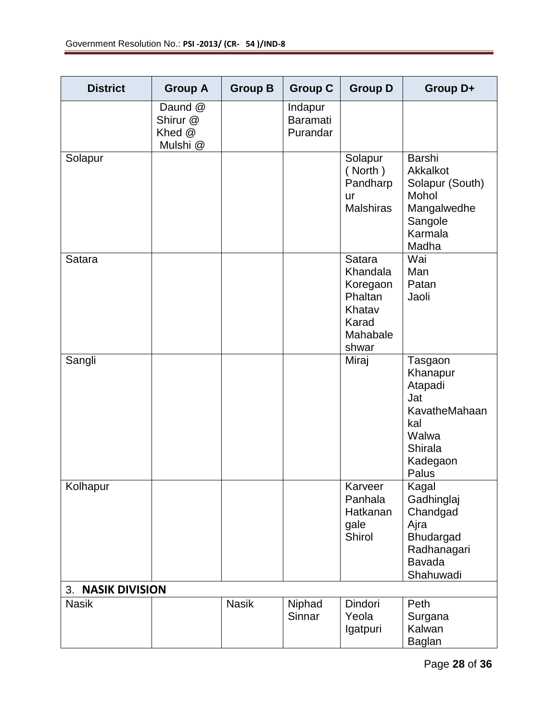| <b>District</b>   | <b>Group A</b>                            | <b>Group B</b> | <b>Group C</b>                         | <b>Group D</b>                                                                    | Group D+                                                                                               |
|-------------------|-------------------------------------------|----------------|----------------------------------------|-----------------------------------------------------------------------------------|--------------------------------------------------------------------------------------------------------|
|                   | Daund @<br>Shirur @<br>Khed @<br>Mulshi @ |                | Indapur<br><b>Baramati</b><br>Purandar |                                                                                   |                                                                                                        |
| Solapur           |                                           |                |                                        | Solapur<br>(North)<br>Pandharp<br>ur<br><b>Malshiras</b>                          | Barshi<br>Akkalkot<br>Solapur (South)<br>Mohol<br>Mangalwedhe<br>Sangole<br>Karmala<br>Madha           |
| Satara            |                                           |                |                                        | Satara<br>Khandala<br>Koregaon<br>Phaltan<br>Khatav<br>Karad<br>Mahabale<br>shwar | Wai<br>Man<br>Patan<br>Jaoli                                                                           |
| Sangli            |                                           |                |                                        | Miraj                                                                             | Tasgaon<br>Khanapur<br>Atapadi<br>Jat<br>KavatheMahaan<br>kal<br>Walwa<br>Shirala<br>Kadegaon<br>Palus |
| Kolhapur          |                                           |                |                                        | Karveer<br>Panhala<br>Hatkanan<br>gale<br>Shirol                                  | Kagal<br>Gadhinglaj<br>Chandgad<br>Ajra<br>Bhudargad<br>Radhanagari<br><b>Bavada</b><br>Shahuwadi      |
| 3. NASIK DIVISION |                                           |                |                                        |                                                                                   |                                                                                                        |
| <b>Nasik</b>      |                                           | <b>Nasik</b>   | Niphad<br>Sinnar                       | Dindori<br>Yeola<br>Igatpuri                                                      | Peth<br>Surgana<br>Kalwan<br><b>Baglan</b>                                                             |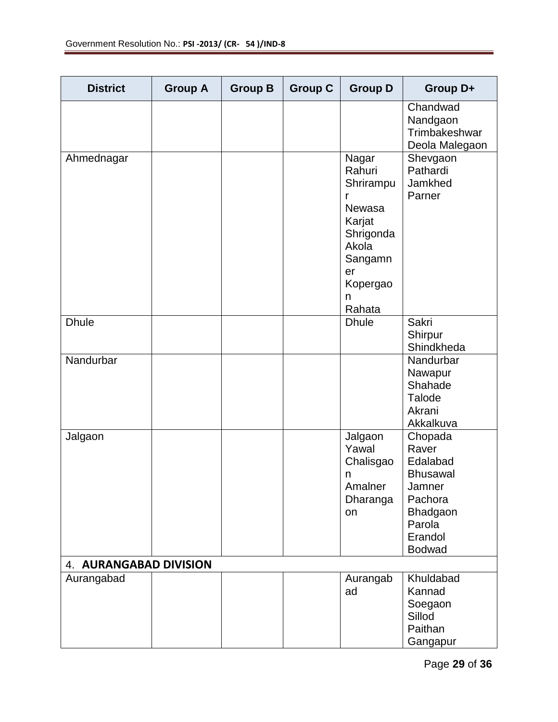| <b>District</b>        | <b>Group A</b> | <b>Group B</b> | <b>Group C</b> | <b>Group D</b>                                                                                                          | Group D+                                                                                                               |
|------------------------|----------------|----------------|----------------|-------------------------------------------------------------------------------------------------------------------------|------------------------------------------------------------------------------------------------------------------------|
|                        |                |                |                |                                                                                                                         | Chandwad<br>Nandgaon<br>Trimbakeshwar<br>Deola Malegaon                                                                |
| Ahmednagar             |                |                |                | Nagar<br>Rahuri<br>Shrirampu<br>r<br>Newasa<br>Karjat<br>Shrigonda<br>Akola<br>Sangamn<br>er<br>Kopergao<br>n<br>Rahata | Shevgaon<br>Pathardi<br>Jamkhed<br>Parner                                                                              |
| <b>Dhule</b>           |                |                |                | <b>Dhule</b>                                                                                                            | <b>Sakri</b><br>Shirpur<br>Shindkheda                                                                                  |
| Nandurbar              |                |                |                |                                                                                                                         | Nandurbar<br>Nawapur<br>Shahade<br><b>Talode</b><br>Akrani<br>Akkalkuva                                                |
| Jalgaon                |                |                |                | Jalgaon<br>Yawal<br>Chalisgao<br>n<br>Amalner<br>Dharanga<br>on                                                         | Chopada<br>Raver<br>Edalabad<br><b>Bhusawal</b><br>Jamner<br>Pachora<br>Bhadgaon<br>Parola<br>Erandol<br><b>Bodwad</b> |
| 4. AURANGABAD DIVISION |                |                |                |                                                                                                                         |                                                                                                                        |
| Aurangabad             |                |                |                | Aurangab<br>ad                                                                                                          | Khuldabad<br>Kannad<br>Soegaon<br>Sillod<br>Paithan<br>Gangapur                                                        |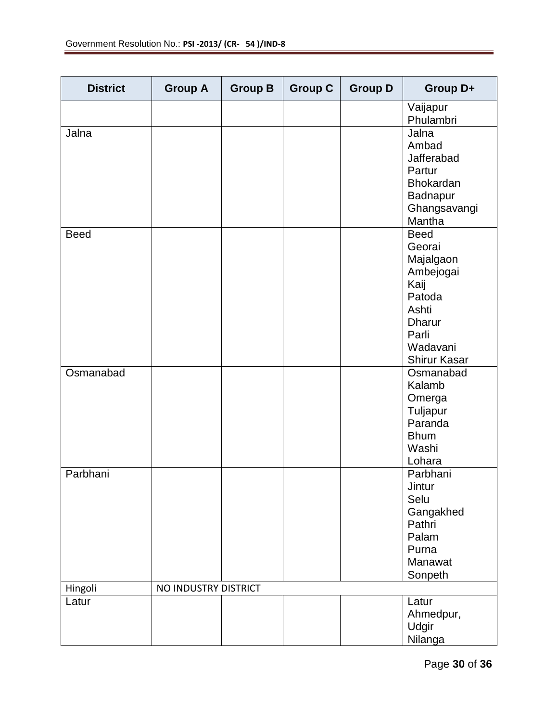| <b>District</b> | <b>Group A</b>       | <b>Group B</b> | <b>Group C</b> | <b>Group D</b> | Group D+                                                                                                                                |
|-----------------|----------------------|----------------|----------------|----------------|-----------------------------------------------------------------------------------------------------------------------------------------|
|                 |                      |                |                |                | Vaijapur<br>Phulambri                                                                                                                   |
| Jalna           |                      |                |                |                | Jalna<br>Ambad<br>Jafferabad<br>Partur<br><b>Bhokardan</b><br>Badnapur<br>Ghangsavangi<br>Mantha                                        |
| <b>Beed</b>     |                      |                |                |                | <b>Beed</b><br>Georai<br>Majalgaon<br>Ambejogai<br>Kaij<br>Patoda<br>Ashti<br><b>Dharur</b><br>Parli<br>Wadavani<br><b>Shirur Kasar</b> |
| Osmanabad       |                      |                |                |                | Osmanabad<br>Kalamb<br>Omerga<br>Tuljapur<br>Paranda<br><b>Bhum</b><br>Washi<br>Lohara                                                  |
| Parbhani        |                      |                |                |                | Parbhani<br>Jintur<br>Selu<br>Gangakhed<br>Pathri<br>Palam<br>Purna<br>Manawat<br>Sonpeth                                               |
| Hingoli         | NO INDUSTRY DISTRICT |                |                |                |                                                                                                                                         |
| Latur           |                      |                |                |                | Latur<br>Ahmedpur,<br>Udgir<br>Nilanga                                                                                                  |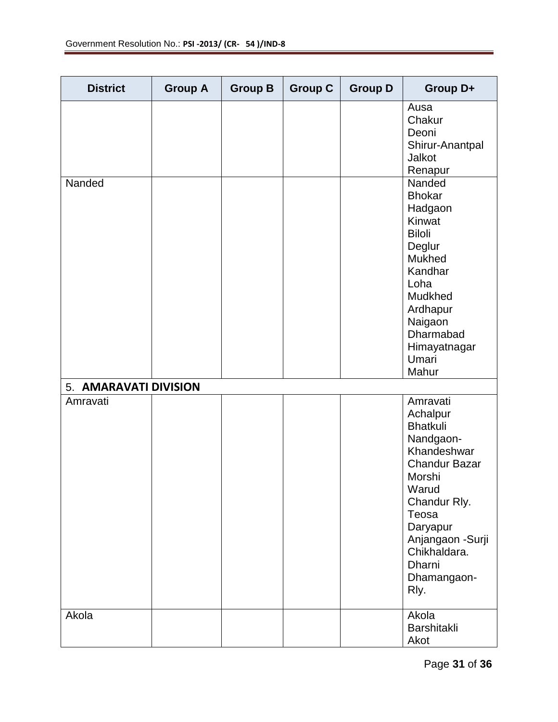| <b>District</b>       | <b>Group A</b> | <b>Group B</b> | <b>Group C</b> | <b>Group D</b> | Group D+                                                                                                                                                                                                                  |
|-----------------------|----------------|----------------|----------------|----------------|---------------------------------------------------------------------------------------------------------------------------------------------------------------------------------------------------------------------------|
|                       |                |                |                |                | Ausa<br>Chakur<br>Deoni<br>Shirur-Anantpal<br>Jalkot<br>Renapur                                                                                                                                                           |
| Nanded                |                |                |                |                | Nanded<br><b>Bhokar</b><br>Hadgaon<br>Kinwat<br><b>Biloli</b><br>Deglur<br>Mukhed<br>Kandhar<br>Loha<br>Mudkhed<br>Ardhapur<br>Naigaon<br>Dharmabad<br>Himayatnagar<br>Umari<br>Mahur                                     |
| 5. AMARAVATI DIVISION |                |                |                |                |                                                                                                                                                                                                                           |
| Amravati              |                |                |                |                | Amravati<br>Achalpur<br><b>Bhatkuli</b><br>Nandgaon-<br>Khandeshwar<br><b>Chandur Bazar</b><br>Morshi<br>Warud<br>Chandur Rly.<br>Teosa<br>Daryapur<br>Anjangaon - Surji<br>Chikhaldara.<br>Dharni<br>Dhamangaon-<br>Rly. |
| Akola                 |                |                |                |                | Akola<br><b>Barshitakli</b><br>Akot                                                                                                                                                                                       |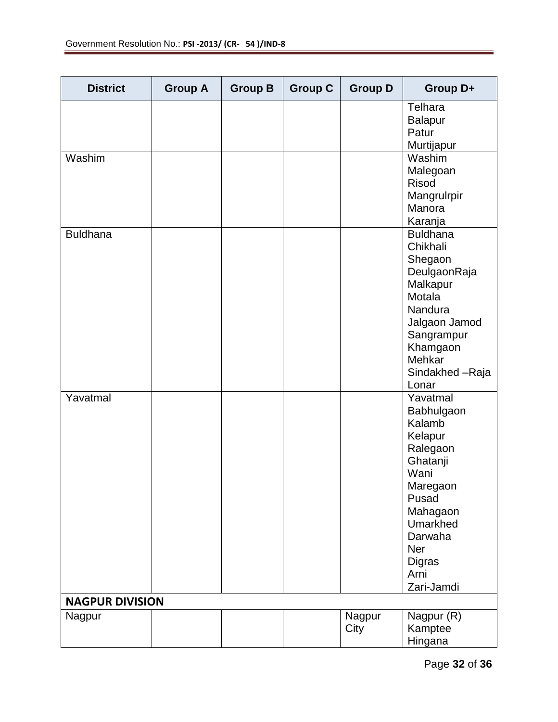| <b>District</b>        | <b>Group A</b> | <b>Group B</b> | <b>Group C</b> | <b>Group D</b> | Group D+                                                                                                                                                                          |
|------------------------|----------------|----------------|----------------|----------------|-----------------------------------------------------------------------------------------------------------------------------------------------------------------------------------|
|                        |                |                |                |                | Telhara<br><b>Balapur</b><br>Patur<br>Murtijapur                                                                                                                                  |
| Washim                 |                |                |                |                | Washim<br>Malegoan<br><b>Risod</b><br>Mangrulrpir<br>Manora<br>Karanja                                                                                                            |
| Buldhana               |                |                |                |                | <b>Buldhana</b><br>Chikhali<br>Shegaon<br>DeulgaonRaja<br>Malkapur<br>Motala<br>Nandura<br>Jalgaon Jamod<br>Sangrampur<br>Khamgaon<br>Mehkar<br>Sindakhed - Raja<br>Lonar         |
| Yavatmal               |                |                |                |                | Yavatmal<br>Babhulgaon<br>Kalamb<br>Kelapur<br>Ralegaon<br>Ghatanji<br>Wani<br>Maregaon<br>Pusad<br>Mahagaon<br>Umarkhed<br>Darwaha<br>Ner<br><b>Digras</b><br>Arni<br>Zari-Jamdi |
| <b>NAGPUR DIVISION</b> |                |                |                |                |                                                                                                                                                                                   |
| Nagpur                 |                |                |                | Nagpur<br>City | Nagpur (R)<br>Kamptee<br>Hingana                                                                                                                                                  |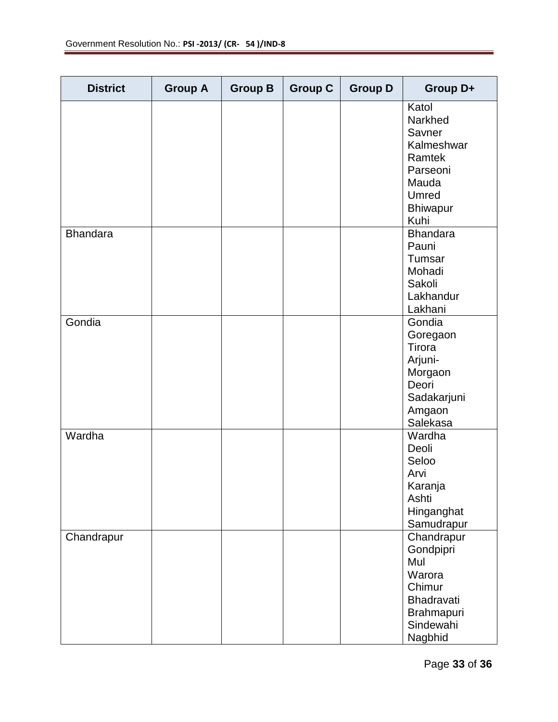| <b>District</b> | <b>Group A</b> | <b>Group B</b> | <b>Group C</b> | <b>Group D</b> | Group D+                                                                                                    |
|-----------------|----------------|----------------|----------------|----------------|-------------------------------------------------------------------------------------------------------------|
|                 |                |                |                |                | Katol<br>Narkhed<br>Savner<br>Kalmeshwar<br>Ramtek<br>Parseoni<br>Mauda<br>Umred<br><b>Bhiwapur</b><br>Kuhi |
| <b>Bhandara</b> |                |                |                |                | <b>Bhandara</b><br>Pauni<br>Tumsar<br>Mohadi<br>Sakoli<br>Lakhandur<br>Lakhani                              |
| Gondia          |                |                |                |                | Gondia<br>Goregaon<br>Tirora<br>Arjuni-<br>Morgaon<br>Deori<br>Sadakarjuni<br>Amgaon<br>Salekasa            |
| Wardha          |                |                |                |                | Wardha<br>Deoli<br>Seloo<br>Arvi<br>Karanja<br>Ashti<br>Hinganghat<br>Samudrapur                            |
| Chandrapur      |                |                |                |                | Chandrapur<br>Gondpipri<br>Mul<br>Warora<br>Chimur<br>Bhadravati<br>Brahmapuri<br>Sindewahi<br>Nagbhid      |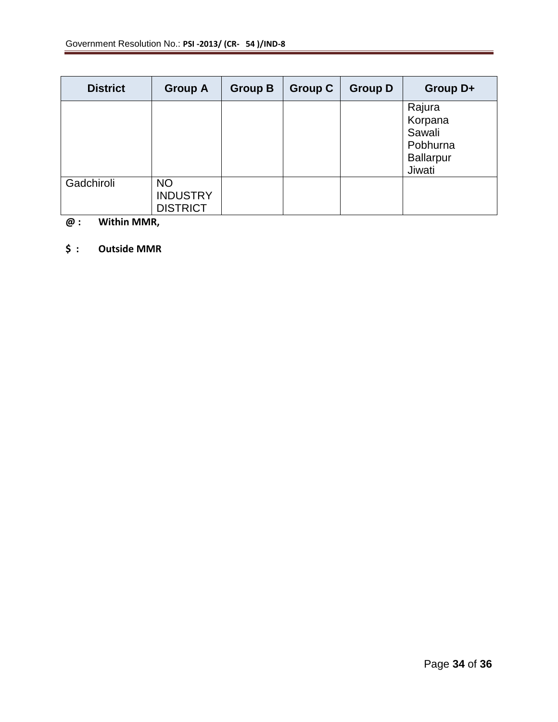| <b>District</b> | <b>Group A</b>                                  | <b>Group B</b> | <b>Group C</b> | <b>Group D</b> | Group D+                                                              |
|-----------------|-------------------------------------------------|----------------|----------------|----------------|-----------------------------------------------------------------------|
|                 |                                                 |                |                |                | Rajura<br>Korpana<br>Sawali<br>Pobhurna<br><b>Ballarpur</b><br>Jiwati |
| Gadchiroli      | <b>NO</b><br><b>INDUSTRY</b><br><b>DISTRICT</b> |                |                |                |                                                                       |

## **@ : Within MMR,**

## **\$ : Outside MMR**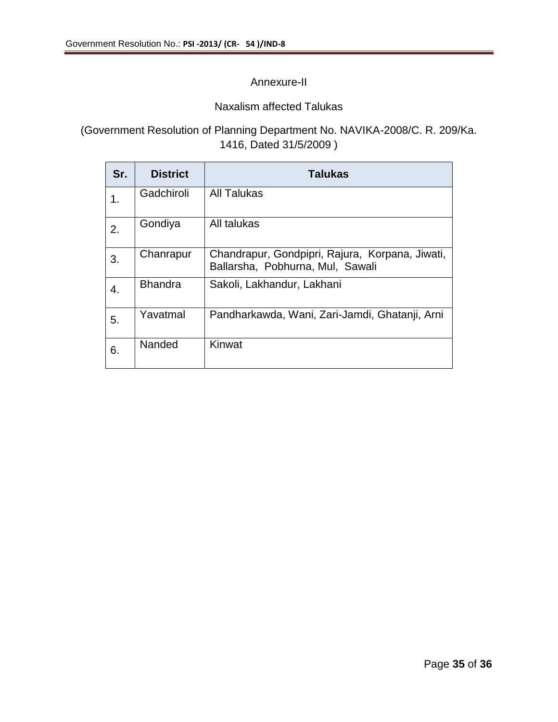## Annexure-II

## Naxalism affected Talukas

## (Government Resolution of Planning Department No. NAVIKA-2008/C. R. 209/Ka. 1416, Dated 31/5/2009 )

| Sr. | <b>District</b> | <b>Talukas</b>                                                                      |
|-----|-----------------|-------------------------------------------------------------------------------------|
| 1.  | Gadchiroli      | <b>All Talukas</b>                                                                  |
| 2.  | Gondiya         | All talukas                                                                         |
| 3.  | Chanrapur       | Chandrapur, Gondpipri, Rajura, Korpana, Jiwati,<br>Ballarsha, Pobhurna, Mul, Sawali |
| 4.  | <b>Bhandra</b>  | Sakoli, Lakhandur, Lakhani                                                          |
| 5.  | Yavatmal        | Pandharkawda, Wani, Zari-Jamdi, Ghatanji, Arni                                      |
| 6.  | Nanded          | Kinwat                                                                              |